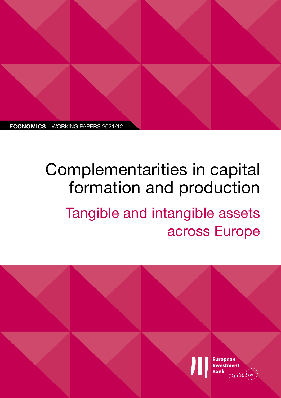

# Complementarities in capital formation and production

Tangible and intangible assets across Europe

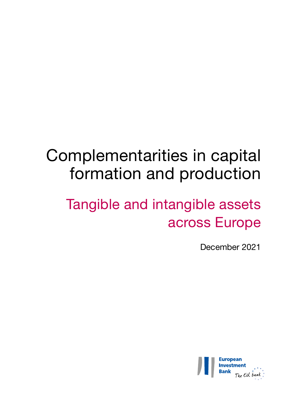## Complementarities in capital formation and production

## Tangible and intangible assets across Europe

December 2021

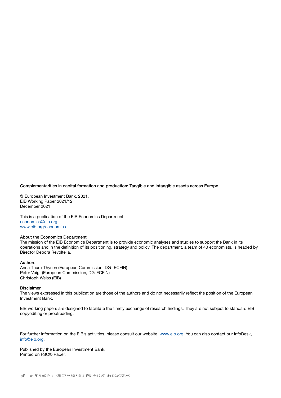#### Complementarities in capital formation and production: Tangible and intangible assets across Europe

© European Investment Bank, 2021. EIB Working Paper 2021/12 December 2021

This is a publication of the EIB Economics Department. [economics@eib.org](http://economics@eib.org) [www.eib.org/economics](http://www.eib.org/economics)

#### About the Economics Department

The mission of the EIB Economics Department is to provide economic analyses and studies to support the Bank in its operations and in the definition of its positioning, strategy and policy. The department, a team of 40 economists, is headed by Director Debora Revoltella.

#### Authors

Anna Thum-Thysen (European Commission, DG- ECFIN) Peter Voigt (European Commission, DG-ECFIN) Christoph Weiss (EIB)

#### Disclaimer

The views expressed in this publication are those of the authors and do not necessarily reflect the position of the European Investment Bank.

EIB working papers are designed to facilitate the timely exchange of research findings. They are not subject to standard EIB copyediting or proofreading.

For further information on the EIB's activities, please consult our website, [www.eib.org.](http://www.eib.org) You can also contact our InfoDesk, [info@eib.org](http://info@eib.org).

Published by the European Investment Bank. Printed on FSC® Paper.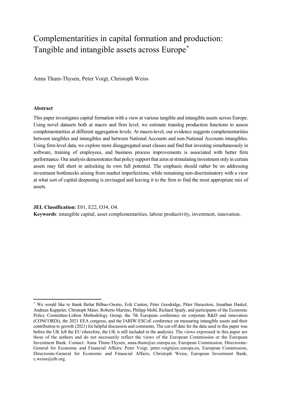## Complementarities in capital formation and production: Tangible and intangible assets across Europe[\\*](#page-4-0)

Anna Thum-Thysen, Peter Voigt, Christoph Weiss

#### **Abstract**

 $\overline{a}$ 

This paper investigates capital formation with a view at various tangible and intangible assets across Europe. Using novel datasets both at macro and firm level, we estimate translog production functions to assess complementarities at different aggregation levels. At macro-level, our evidence suggests complementarities between tangibles and intangibles and between National Accounts and non-National Accounts intangibles. Using firm-level data, we explore more disaggregated asset classes and find that investing simultaneously in software, training of employees, and business process improvements is associated with better firm performance. Our analysis demonstrates that policy support that aims at stimulating investment only in certain assets may fall short in unlocking its own full potential. The emphasis should rather be on addressing investment bottlenecks arising from market imperfections, while remaining non-discriminatory with a view at what sort of capital deepening is envisaged and leaving it to the firm to find the most appropriate mix of assets.

**JEL Classification:** E01, E22, O34, O4.

**Keywords**: intangible capital, asset complementarities, labour productivity, investment, innovation.

<span id="page-4-0"></span><sup>\*</sup> We would like to thank Beñat Bilbao-Osorio, Erik Canton, Peter Goodridge, Péter Harasztosi, Jonathan Haskel, Andreas Kappeler, Christoph Maier, Roberto Martino, Philipp Mohl, Richard Spady, and participants of the Economic Policy Committee-Lisbon Methodology Group, the 7th European conference on corporate R&D and innovation (CONCORDi), the 2021 EEA congress, and the IARIW-ESCoE conference on measuring intangible assets and their contribution to growth (2021) for helpful discussion and comments. The cut-off date for the data used in this paper was before the UK left the EU (therefore, the UK is still included in the analysis). The views expressed in this paper are those of the authors and do not necessarily reflect the views of the European Commission or the European Investment Bank. Contact: Anna Thum-Thysen, anna.thum@ec.europa.eu, European Commission, Directorate-General for Economic and Financial Affairs; Peter Voigt, peter.voigt@ec.europa.eu, European Commission, Directorate-General for Economic and Financial Affairs; Christoph Weiss; European Investment Bank, c.weiss@eib.org.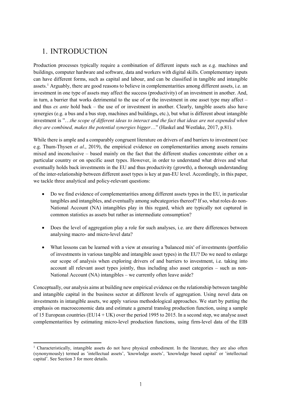## 1. INTRODUCTION

Production processes typically require a combination of different inputs such as e.g. machines and buildings, computer hardware and software, data and workers with digital skills. Complementary inputs can have different forms, such as capital and labour, and can be classified in tangible and intangible assets.<sup>[1](#page-6-0)</sup> Arguably, there are good reasons to believe in complementarities among different assets, i.e. an investment in one type of assets may affect the success (productivity) of an investment in another. And, in turn, a barrier that works detrimental to the use of or the investment in one asset type may affect – and thus *ex ante* hold back – the use of or investment in another. Clearly, tangible assets also have synergies (e.g. a bus and a bus stop, machines and buildings, etc.), but what is different about intangible investment is "…*the scope of different ideas to interact and the fact that ideas are not expended when they are combined, makes the potential synergies bigger*…" (Haskel and Westlake, 2017, p.81).

While there is ample and a comparably congruent literature on drivers of and barriers to investment (see e.g. Thum-Thysen *et al*., 2019), the empirical evidence on complementarities among assets remains mixed and inconclusive – based mainly on the fact that the different studies concentrate either on a particular country or on specific asset types. However, in order to understand what drives and what eventually holds back investments in the EU and thus productivity (growth), a thorough understanding of the inter-relationship between different asset types is key at pan-EU level. Accordingly, in this paper, we tackle three analytical and policy-relevant questions:

- Do we find evidence of complementarities among different assets types in the EU, in particular tangibles and intangibles, and eventually among subcategories thereof? If so, what roles do non-National Account (NA) intangibles play in this regard, which are typically not captured in common statistics as assets but rather as intermediate consumption?
- Does the level of aggregation play a role for such analyses, i.e. are there differences between analysing macro- and micro-level data?
- What lessons can be learned with a view at ensuring a 'balanced mix' of investments (portfolio of investments in various tangible and intangible asset types) in the EU? Do we need to enlarge our scope of analysis when exploring drivers of and barriers to investment, i.e. taking into account all relevant asset types jointly, thus including also asset categories – such as non-National Account (NA) intangibles – we currently often leave aside?

Conceptually, our analysis aims at building new empirical evidence on the relationship between tangible and intangible capital in the business sector at different levels of aggregation. Using novel data on investments in intangible assets, we apply various methodological approaches. We start by putting the emphasis on macroeconomic data and estimate a general translog production function, using a sample of 15 European countries (EU14 + UK) over the period 1995 to 2015. In a second step, we analyse asset complementarities by estimating micro-level production functions, using firm-level data of the EIB

<span id="page-6-0"></span><sup>&</sup>lt;u>.</u>  $1$  Characteristically, intangible assets do not have physical embodiment. In the literature, they are also often (synonymously) termed as 'intellectual assets', 'knowledge assets', 'knowledge based capital' or 'intellectual capital'. See Section 3 for more details.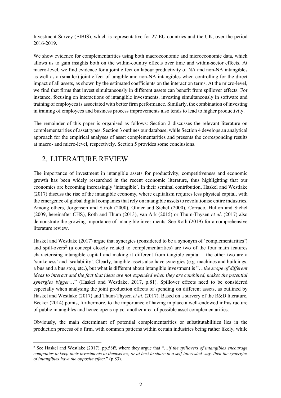Investment Survey (EIBIS), which is representative for 27 EU countries and the UK, over the period 2016-2019.

We show evidence for complementarities using both macroeconomic and microeconomic data, which allows us to gain insights both on the within-country effects over time and within-sector effects. At macro-level, we find evidence for a joint effect on labour productivity of NA and non-NA intangibles as well as a (smaller) joint effect of tangible and non-NA intangibles when controlling for the direct impact of all assets, as shown by the estimated coefficients on the interaction terms. At the micro-level, we find that firms that invest simultaneously in different assets can benefit from spillover effects. For instance, focusing on interactions of intangible investments, investing simultaneously in software and training of employees is associated with better firm performance. Similarly, the combination of investing in training of employees and business process improvements also tends to lead to higher productivity.

The remainder of this paper is organised as follows: Section 2 discusses the relevant literature on complementarities of asset types. Section 3 outlines our database, while Section 4 develops an analytical approach for the empirical analyses of asset complementarities and presents the corresponding results at macro- and micro-level, respectively. Section 5 provides some conclusions.

## 2. LITERATURE REVIEW

The importance of investment in intangible assets for productivity, competitiveness and economic growth has been widely researched in the recent economic literature, thus highlighting that our economies are becoming increasingly 'intangible'. In their seminal contribution, Haskel and Westlake (2017) discuss the rise of the intangible economy, where capitalism requires less physical capital, with the emergence of global digital companies that rely on intangible assets to revolutionise entire industries. Among others, Jorgenson and Stiroh (2000), Oliner and Sichel (2000), Corrado, Hulton and Sichel (2009, hereinafter CHS), Roth and Thum (2013), van Ark (2015) or Thum-Thysen *et al*. (2017) also demonstrate the growing importance of intangible investments. See Roth (2019) for a comprehensive literature review.

Haskel and Westlake (2017) argue that synergies (considered to be a synonym of 'complementarities') and spill-overs<sup>[2](#page-7-0)</sup> (a concept closely related to complementarities) are two of the four main features characterising intangible capital and making it different from tangible capital – the other two are a 'sunkeness' and 'scalability'. Clearly, tangible assets also have synergies (e.g. machines and buildings, a bus and a bus stop, etc.), but what is different about intangible investment is "…*the scope of different ideas to interact and the fact that ideas are not expended when they are combined, makes the potential synergies bigger*…" (Haskel and Westlake, 2017, p.81). Spillover effects need to be considered especially when analysing the joint production effects of spending on different assets, as outlined by Haskel and Westlake (2017) and Thum-Thysen *et al*. (2017). Based on a survery of the R&D literature, Becker (2014) points, furthermore, to the importance of having in place a well-endowed infrastructure of public intangibles and hence opens up yet another area of possible asset complementarities.

Obviously, the main determinant of potential complementarities or substitutabilities lies in the production process of a firm, with common patterns within certain industries being rather likely, while

<span id="page-7-0"></span><sup>&</sup>lt;u>.</u> <sup>2</sup> See Haskel and Westlake (2017), pp.58ff, where they argue that "…*if the spillovers of intangibles encourage companies to keep their investments to themselves, or at best to share in a self-interested way, then the synergies of intangibles have the opposite effect.*" (p.83).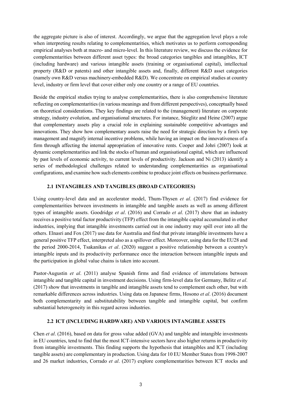the aggregate picture is also of interest. Accordingly, we argue that the aggregation level plays a role when interpreting results relating to complementarities, which motivates us to perform corresponding empirical analyses both at macro- and micro-level. In this literature review, we discuss the evidence for complementarities between different asset types: the broad categories tangibles and intangibles, ICT (including hardware) and various intangible assets (training or organisational capital), intellectual property (R&D or patents) and other intangible assets and, finally, different R&D asset categories (namely own R&D versus machinery-embedded R&D). We concentrate on empirical studies at country level, industry or firm level that cover either only one country or a range of EU countries.

Beside the empirical studies trying to analyse complementarities, there is also comprehensive literature reflecting on complementarities (in various meanings and from different perspectives), conceptually based on theoretical considerations. They key findings are related to the (management) literature on corporate strategy, industry evolution, and organisational structures. For instance, Stieglitz and Heine (2007) argue that complementary assets play a crucial role in explaining sustainable competitive advantages and innovations. They show how complementary assets raise the need for strategic direction by a firm's top management and magnify internal incentive problems, while having an impact on the innovativeness of a firm through affecting the internal appropriation of innovative rents. Cooper and Johri (2007) look at dynamic complementarities and link the stocks of human and organisational capital, which are influenced by past levels of economic activity, to current levels of productivity. Jackson and Ni (2013) identify a series of methodological challenges related to understanding complementarities as organisational configurations, and examine how such elements combine to produce joint effects on business performance.

## **2.1 INTANGIBLES AND TANGIBLES (BROAD CATEGORIES)**

Using country-level data and an accelerator model, Thum-Thysen *et al*. (2017) find evidence for complementarities between investments in intangible and tangible assets as well as among different types of intangible assets. Goodridge *et al*. (2016) and Corrado *et al*. (2017) show that an industry receives a positive total factor productivity (TFP) effect from the intangible capital accumulated in other industries, implying that intangible investments carried out in one industry may spill over into all the others. Elnasri and Fox (2017) use data for Australia and find that private intangible investments have a general positive TFP effect, interpreted also as a spillover effect. Moreover, using data for the EU28 and the period 2000-2014, Tsakanikas *et al*. (2020) suggest a positive relationship between a country's intangible inputs and its productivity performance once the interaction between intangible inputs and the participation in global value chains is taken into account.

Pastor-Augustin *et al*. (2011) analyse Spanish firms and find evidence of interrelations between intangible and tangible capital in investment decisions. Using firm-level data for Germany, Belitz *et al*. (2017) show that investments in tangible and intangible assets tend to complement each other, but with remarkable differences across industries. Using data on Japanese firms, Hosono *et al*. (2016) document both complementarity and substitutability between tangible and intangible capital, but confirm substantial heterogeneity in this regard across industries.

### **2.2 ICT (INCLUDING HARDWARE) AND VARIOUS INTANGIBLE ASSETS**

Chen *et al*. (2016), based on data for gross value added (GVA) and tangible and intangible investments in EU countries, tend to find that the most ICT-intensive sectors have also higher returns in productivity from intangible investments. This finding supports the hypothesis that intangibles and ICT (including tangible assets) are complementary in production. Using data for 10 EU Member States from 1998-2007 and 26 market industries, Corrado *et al*. (2017) explore complementarities between ICT stocks and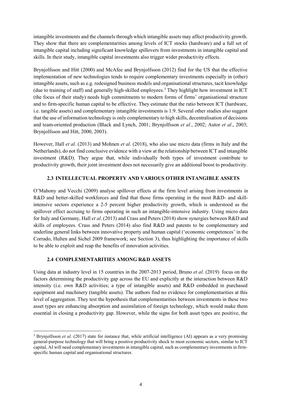intangible investments and the channels through which intangible assets may affect productivity growth. They show that there are complementarities among levels of ICT stocks (hardware) and a full set of intangible capital including significant knowledge spillovers from investments in intangible capital and skills. In their study, intangible capital investments also trigger wider productivity effects.

Brynjolfsson and Hitt (2000) and McAfee and Brynjolfsson (2012) find for the US that the effective implementation of new technologies tends to require complementary investments especially in (other) intangible assets, such as e.g. redesigned business models and organisational structures, tacit knowledge (due to training of staff) and generally high-skilled employees.[3](#page-9-0) They highlight how investment in ICT (the focus of their study) needs high commitments to modern forms of firms' organisational structure and to firm-specific human capital to be effective. They estimate that the ratio between ICT (hardware, i.e. tangible assets) and complementary intangible investments is 1:9. Several other studies also suggest that the use of information technology is only complementary to high skills, decentralisation of decisions and team-oriented production (Black and Lynch, 2001; Brynjolfsson *et al*., 2002; Autor *et al*., 2003; Brynjolfsson and Hitt, 2000, 2003).

However, Hall *et al*. (2013) and Mohnen *et al*. (2018), who also use micro data (firms in Italy and the Netherlands), do not find conclusive evidence with a view at the relationship between ICT and intangible investment (R&D). They argue that, while individually both types of investment contribute to productivity growth, their joint investment does not necessarily give an additional boost to productivity.

## **2.3 INTELLECTUAL PROPERTY AND VARIOUS OTHER INTANGIBLE ASSETS**

O'Mahony and Vecchi (2009) analyse spillover effects at the firm level arising from investments in R&D and better-skilled workforces and find that those firms operating in the most R&D- and skillintensive sectors experience a 2-5 percent higher productivity growth, which is understood as the spillover effect accruing to firms operating in such an intangible-intensive industry. Using micro data for Italy and Germany, Hall *et al*. (2013) and Crass and Peters (2014) show synergies between R&D and skills of employees. Crass and Peters (2014) also find R&D and patents to be complementary and underline general links between innovative property and human capital ('economic competences' in the Corrado, Hulten and Sichel 2009 framework; see Section 3), thus highlighting the importance of skills to be able to exploit and reap the benefits of innovation activities.

## **2.4 COMPLEMENTARITIES AMONG R&D ASSETS**

 $\overline{\phantom{a}}$ 

Using data at industry level in 15 countries in the 2007-2013 period, Bruno *et al*. (2019) focus on the factors determining the productivity gap across the EU and explicitly at the interaction between R&D intensity (i.e. own R&D activities; a type of intangible assets) and R&D embedded in purchased equipment and machinery (tangible assets). The authors find no evidence for complementarities at this level of aggregation. They test the hypothesis that complementarities between investments in these two asset types are enhancing absorption and assimilation of foreign technology, which would make them essential in closing a productivity gap. However, while the signs for both asset types are positive, the

<span id="page-9-0"></span><sup>&</sup>lt;sup>3</sup> Brynjolfsson *et al.* (2017) state for instance that, while artificial intelligence (AI) appears as a very promising general-purpose technology that will bring a positive productivity shock to most economic sectors, similar to ICT capital, AI will need complementary investments in intangible capital, such as complementary investments in firmspecific human capital and organisational structures.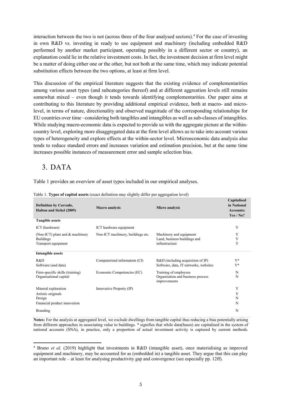interaction between the two is not (across three of the four analysed sectors). [4](#page-10-0) For the case of investing in own R&D vs. investing in ready to use equipment and machinery (including embedded R&D performed by another market participant, operating possibly in a different sector or country), an explanation could lie in the relative investment costs. In fact, the investment decision at firm level might be a matter of doing either one or the other, but not both at the same time, which may indicate potential substitution effects between the two options, at least at firm level.

This discussion of the empirical literature suggests that the existing evidence of complementarities among various asset types (and subcategories thereof) and at different aggreation levels still remains somewhat mixed – even though it tends towards identifying complementarities. Our paper aims at contributing to this literature by providing additional empirical evidence, both at macro- and microlevel, in terms of nature, directionality and observed magnitude of the corresponding relationships for EU countries over time –considering both tangibles and intangibles as well as sub-classes of intangibles. While studying macro-economic data is expected to provide us with the aggregate picture at the withincountry level, exploring more disaggregated data at the firm level allows us to take into account various types of heterogeneity and explore effects at the within-sector level. Microeconomic data analysis also tends to reduce standard errors and increases variation and estimation precision, but at the same time increases possible instances of measurement error and sample selection bias.

## 3. DATA

Table 1 provides an overview of asset types included in our empirical analyses.

| <b>Definition by Corrado,</b><br><b>Hulton and Sichel (2009)</b>                    | <b>Macro</b> analysis             | Micro analysis                                                               | Capitalised<br>in National<br><b>Accounts:</b><br>Yes / No? |
|-------------------------------------------------------------------------------------|-----------------------------------|------------------------------------------------------------------------------|-------------------------------------------------------------|
| <b>Tangible assets</b>                                                              |                                   |                                                                              |                                                             |
| ICT (hardware)                                                                      | ICT hardware equipment            |                                                                              | Y                                                           |
| (Non-ICT) plant and & machinery<br><b>Buildings</b><br>Transport equipment          | Non-ICT machinery, buildings etc. | Machinery and equipment<br>Land, business buildings and<br>infrastructure    | Y<br>Y<br>Y                                                 |
| Intangible assets                                                                   |                                   |                                                                              |                                                             |
| R&D<br>Software (and data)                                                          | Computerised information (CI)     | $R&D$ (including acquisition of IP)<br>Software, data, IT networks, websites | $Y^*$<br>$Y^*$                                              |
| Firm-specific skills (training)<br>Organisational capital                           | Economic Competencies (EC)        | Training of employees<br>Organisation and business process<br>improvements   | N<br>N                                                      |
| Mineral exploration<br>Artistic originals<br>Design<br>Financial product innovation | Innovative Property (IP)          |                                                                              | Y<br>Y<br>N<br>N                                            |
| <b>Branding</b>                                                                     |                                   |                                                                              | N                                                           |

Table 1. **Types of capital assets** (exact definition may slightly differ per aggregation level)

**Notes:** For the analysis at aggregated level, we exclude dwellings from tangible capital thus reducing a bias potentially arising from different approaches in associating value to buildings. \* signifies that while data(bases) are capitalised in the system of national accounts (SNA), in practice, only a proportion of actual investment activity is captured by current methods.

<span id="page-10-0"></span><sup>&</sup>lt;u>.</u> <sup>4</sup> Bruno *et al.* (2019) highlight that investments in R&D (intangible asset), once materialising as improved equipment and machinery, may be accounted for as (embedded in) a tangible asset. They argue that this can play an important role – at least for analysing productivity gap and convergence (see especially pp. 12ff).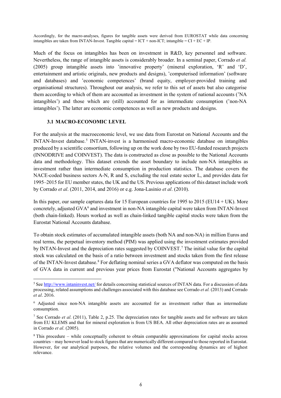Accordingly, for the macro-analyses, figures for tangible assets were derived from EUROSTAT while data concerning intangibles are taken from INTAN-Invest. Tangible capital = ICT + non-ICT; intangible = CI + EC + IP.

Much of the focus on intangibles has been on investment in R&D, key personnel and software. Nevertheless, the range of intangible assets is considerably broader. In a seminal paper, Corrado *et al.* (2005) group intangible assets into 'innovative property' (mineral exploration, 'R' and 'D', entertainment and artistic originals, new products and designs), 'computerised information' (software and databases) and 'economic competences' (brand equity, employer-provided training and organisational structures). Throughout our analysis, we refer to this set of assets but also categorise them according to which of them are accounted as investment in the system of national accounts ('NA intangibles') and those which are (still) accounted for as intermediate consumption ('non-NA intangibles'). The latter are economic competences as well as new products and designs.

### **3.1 MACRO-ECONOMIC LEVEL**

**.** 

For the analysis at the macroeconomic level, we use data from Eurostat on National Accounts and the INTAN-Invest database. [5](#page-11-0) INTAN-invest is a harmonised macro-economic database on intangibles produced by a scientific consortium, following up on the work done by two EU-funded research projects (INNODRIVE and COINVEST). The data is constructed as close as possible to the National Accounts data and methodology. This dataset extends the asset boundary to include non-NA intangibles as investment rather than intermediate consumption in production statistics. The database covers the NACE-coded business sectors A-N, R and S, excluding the real estate sector L, and provides data for 1995–2015 for EU member states, the UK and the US. Previous applications of this dataset include work by Corrado *et al*. (2011, 2014, and 2016) or e.g. Jona-Lasinio *et al*. (2010).

In this paper, our sample captures data for 15 European countries for 1995 to 2015 (EU14 + UK). More concretely, adjusted GVA<sup>[6](#page-11-1)</sup> and investment in non-NA intangible capital were taken from INTAN-Invest (both chain-linked). Hours worked as well as chain-linked tangible capital stocks were taken from the Eurostat National Accounts database.

To obtain stock estimates of accumulated intangible assets (both NA and non-NA) in million Euros and real terms, the perpetual inventory method (PIM) was applied using the investment estimates provided by INTAN-Invest and the depreciation rates suggested by COINVEST.<sup>[7](#page-11-2)</sup> The initial value for the capital stock was calculated on the basis of a ratio between investment and stocks taken from the first release of the INTAN-Invest database.[8](#page-11-3) For deflating nominal series a GVA deflator was computed on the basis of GVA data in current and previous year prices from Eurostat ("National Accounts aggregates by

<span id="page-11-0"></span><sup>&</sup>lt;sup>5</sup> See<http://www.intaninvest.net/> for details concerning statistical sources of INTAN data. For a discussion of data processing, related assumptions and challenges associated with this database see Corrado *et al.* (2013) and Corrado *et al*. 2016.

<span id="page-11-1"></span><sup>6</sup> Adjusted since non-NA intangible assets are accounted for as investment rather than as intermediate consumption.

<span id="page-11-2"></span><sup>7</sup> See Corrado *et al*. (2011), Table 2, p.25. The depreciation rates for tangible assets and for software are taken from EU KLEMS and that for mineral exploration is from US BEA. All other depreciation rates are as assumed in Corrado *et al*. (2005).

<span id="page-11-3"></span><sup>8</sup> This procedure – while conceptually coherent to obtain comparable approximations for capital stocks across countries – may however lead to stock figures that are numerically different compared to those reported in Eurostat. However, for our analytical purposes, the relative volumes and the corresponding dynamics are of highest relevance.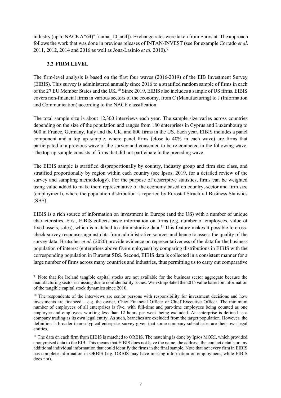industry (up to NACE A\*64)" [nama 10 a64]). Exchange rates were taken from Eurostat. The approach follows the work that was done in previous releases of INTAN-INVEST (see for example Corrado *et al*. 2011, 2012, 2014 and 2016 as well as Jona-Lasinio *et al.* 2010).[9](#page-12-0)

## **3.2 FIRM LEVEL**

The firm-level analysis is based on the first four waves (2016-2019) of the EIB Investment Survey (EIBIS). This survey is administered annually since 2016 to a stratified random sample of firms in each of the 27 EU Member States and the UK.<sup>[10](#page-12-1)</sup> Since 2019, EIBIS also includes a sample of US firms. EIBIS covers non-financial firms in various sectors of the economy, from C (Manufacturing) to J (Information and Communication) according to the NACE classification.

The total sample size is about 12,300 interviews each year. The sample size varies across countries depending on the size of the population and ranges from 180 enterprises in Cyprus and Luxembourg to 600 in France, Germany, Italy and the UK, and 800 firms in the US. Each year, EIBIS includes a panel component and a top up sample, where panel firms (close to 40% in each wave) are firms that participated in a previous wave of the survey and consented to be re-contacted in the following wave. The top-up sample consists of firms that did not participate in the preceding wave.

The EIBIS sample is stratified disproportionally by country, industry group and firm size class, and stratified proportionally by region within each country (see Ipsos, 2019, for a detailed review of the survey and sampling methodology). For the purpose of descriptive statistics, firms can be weighted using value added to make them representative of the economy based on country, sector and firm size (employment), where the population distribution is reported by Eurostat Structural Business Statistics (SBS).

EIBIS is a rich source of information on investment in Europe (and the US) with a number of unique characteristics. First, EIBIS collects basic information on firms (e.g. number of employees, value of fixed assets, sales), which is matched to administrative data.<sup>[11](#page-12-2)</sup> This feature makes it possible to crosscheck survey responses against data from administrative sources and hence to assess the quality of the survey data. Brutscher *et al*. (2020) provide evidence on representativeness of the data for the business population of interest (enterprises above five employees) by comparing distributions in EIBIS with the corresponding population in Eurostat SBS. Second, EIBIS data is collected in a consistent manner for a large number of firms across many countries and industries, thus permitting us to carry out comparative

<span id="page-12-0"></span>**<sup>.</sup>** <sup>9</sup> Note that for Ireland tangible capital stocks are not available for the business sector aggregate because the manufacturing sector is missing due to confidentiality issues. We extrapolated the 2015 value based on information of the tangible capital stock dynamics since 2010.

<span id="page-12-1"></span><sup>&</sup>lt;sup>10</sup> The respondents of the interviews are senior persons with responsibility for investment decisions and how investments are financed – e.g. the owner, Chief Financial Officer or Chief Executive Officer. The minimum number of employees of all enterprises is five, with full-time and part-time employees being counted as one employee and employees working less than 12 hours per week being excluded. An enterprise is defined as a company trading as its own legal entity. As such, branches are excluded from the target population. However, the definition is broader than a typical enterprise survey given that some company subsidiaries are their own legal entities.

<span id="page-12-2"></span><sup>&</sup>lt;sup>11</sup> The data on each firm from EIBIS is matched to ORBIS. The matching is done by Ipsos MORI, which provided anonymised data to the EIB. This means that EIBIS does not have the name, the address, the contact details or any additional individual information that could identify the firms in the final sample. Note that not every firm in EIBIS has complete information in ORBIS (e.g. ORBIS may have missing information on employment, while EIBIS does not).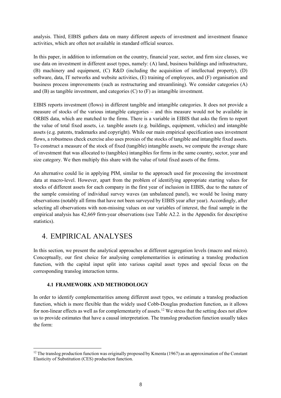analysis. Third, EIBIS gathers data on many different aspects of investment and investment finance activities, which are often not available in standard official sources.

In this paper, in addition to information on the country, financial year, sector, and firm size classes, we use data on investment in different asset types, namely: (A) land, business buildings and infrastructure, (B) machinery and equipment, (C) R&D (including the acquisition of intellectual property), (D) software, data, IT networks and website activities, (E) training of employees, and (F) organisation and business process improvements (such as restructuring and streamlining). We consider categories (A) and (B) as tangible investment, and categories (C) to (F) as intangible investment.

EIBIS reports investment (flows) in different tangible and intangible categories. It does not provide a measure of stocks of the various intangible categories – and this measure would not be available in ORBIS data, which are matched to the firms. There is a variable in EIBIS that asks the firm to report the value of total fixed assets, i.e. tangible assets (e.g. buildings, equipment, vehicles) and intangible assets (e.g. patents, trademarks and copyright). While our main empirical specification uses investment flows, a robustness check exercise also uses proxies of the stocks of tangible and intangible fixed assets. To construct a measure of the stock of fixed (tangible) intangible assets, we compute the average share of investment that was allocated to (tangibles) intangibles for firms in the same country, sector, year and size category. We then multiply this share with the value of total fixed assets of the firms.

An alternative could lie in applying PIM, similar to the approach used for processing the investment data at macro-level. However, apart from the problem of identifying appropriate starting values for stocks of different assets for each company in the first year of inclusion in EIBIS, due to the nature of the sample consisting of individual survey waves (an unbalanced panel), we would be losing many observations (notably all firms that have not been surveyed by EIBIS year after year). Accordingly, after selecting all observations with non-missing values on our variables of interest, the final sample in the empirical analysis has 42,669 firm-year observations (see Table A2.2. in the Appendix for descriptive statistics).

## 4. EMPIRICAL ANALYSES

 $\overline{\phantom{a}}$ 

In this section, we present the analytical approaches at different aggregation levels (macro and micro). Conceptually, our first choice for analysing complementarities is estimating a translog production function, with the capital input split into various capital asset types and special focus on the corresponding translog interaction terms.

## **4.1 FRAMEWORK AND METHODOLOGY**

In order to identify complementarities among different asset types, we estimate a translog production function, which is more flexible than the widely used Cobb-Douglas production function, as it allows for non-linear effects as well as for complementarity of assets.<sup>[12](#page-13-0)</sup> We stress that the setting does not allow us to provide estimates that have a causal interpretation. The translog production function usually takes the form:

<span id="page-13-0"></span> $12$  The translog production function was originally proposed by Kmenta (1967) as an approximation of the Constant Elasticity of Substitution (CES) production function.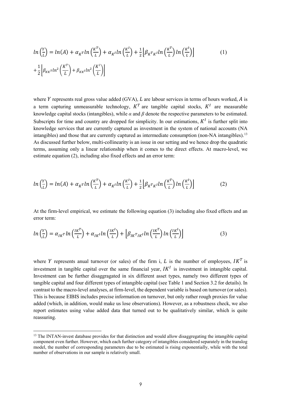$$
ln\left(\frac{Y}{L}\right) = ln(A) + \alpha_{K}rln\left(\frac{K^{T}}{L}\right) + \alpha_{K}ln\left(\frac{K^{I}}{L}\right) + \frac{1}{2}\left[\beta_{K}r_{K}ln\left(\frac{K^{T}}{L}\right)ln\left(\frac{K^{I}}{L}\right)\right]
$$
\n
$$
+ \frac{1}{2}\left[\beta_{KK}rln^{2}\left(\frac{K^{T}}{L}\right) + \beta_{KK}ln^{2}\left(\frac{K^{I}}{L}\right)\right]
$$
\n(1)

where  $Y$  represents real gross value added (GVA),  $L$  are labour services in terms of hours worked,  $A$  is a term capturing unmeasurable technology,  $K<sup>T</sup>$  are tangible capital stocks,  $K<sup>T</sup>$  are measurable knowledge capital stocks (intangibles), while  $\alpha$  and  $\beta$  denote the respective parameters to be estimated. Subscripts for time and country are dropped for simplicity. In our estimations,  $K<sup>I</sup>$  is further split into knowledge services that are currently captured as investment in the system of national accounts (NA intangibles) and those that are currently captured as intermediate consumption (non-NA intangibles).<sup>[13](#page-14-0)</sup> As discussed further below, multi-collinearity is an issue in our setting and we hence drop the quadratic terms, assuming only a linear relationship when it comes to the direct effects. At macro-level, we estimate equation (2), including also fixed effects and an error term:

$$
ln\left(\frac{Y}{L}\right) = ln(A) + \alpha_K r ln\left(\frac{K^T}{L}\right) + \alpha_K l ln\left(\frac{K^I}{L}\right) + \frac{1}{2} \left[\beta_K r_K l ln\left(\frac{K^T}{L}\right) ln\left(\frac{K^I}{L}\right)\right]
$$
(2)

At the firm-level empirical, we estimate the following equation (3) including also fixed effects and an error term:

$$
ln\left(\frac{Y}{L}\right) = \alpha_{IK} r ln\left(\frac{IK^{T}}{L}\right) + \alpha_{IK} ln\left(\frac{IK^{I}}{L}\right) + \left[\beta_{IK} r_{IK} ln\left(\frac{IK^{T}}{L}\right) ln\left(\frac{IK^{I}}{L}\right)\right]
$$
(3)

where Y represents anual turnover (or sales) of the firm i, L is the number of employees,  $IK<sup>T</sup>$  is investment in tangible capital over the same financial year,  $IK<sup>I</sup>$  is investment in intangible capital. Investment can be further disaggragated in six different asset types, namely two different types of tangible capital and four different types of intangible capital (see Table 1 and Section 3.2 for details). In contrast to the macro-level analyses, at firm-level, the dependent variable is based on turnover (or sales). This is because EIBIS includes precise information on turnover, but only rather rough proxies for value added (which, in addition, would make us lose observations). However, as a robustness check, we also report estimates using value added data that turned out to be qualitatively similar, which is quite reassuring.

 $\overline{\phantom{a}}$ 

<span id="page-14-0"></span> $<sup>13</sup>$  The INTAN-invest database provides for that distinction and would allow disaggregating the intangible capital</sup> component even further. However, which each further category of intangibles considered separately in the translog model, the number of corresponding parameters due to be estimated is rising exponentially, while with the total number of observations in our sample is relatively small.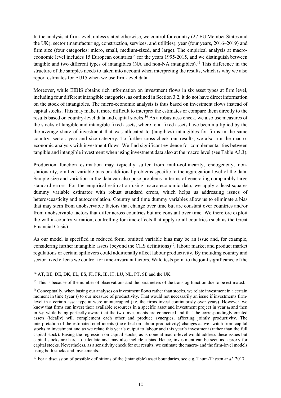In the analysis at firm-level, unless stated otherwise, we control for country (27 EU Member States and the UK), sector (manufacturing, construction, services, and utilities), year (four years, 2016–2019) and firm size (four categories: micro, small, medium-sized, and large). The empirical analysis at macro-economic level includes 15 European countries<sup>[14](#page-15-0)</sup> for the years 1995-2015, and we distinguish between tangible and two different types of intangibles (NA and non-NA intangibles).[15](#page-15-1) This difference in the structure of the samples needs to taken into account when interpreting the results, which is why we also report estimates for EU15 when we use firm-level data.

Moreover, while EIBIS obtains rich information on investment flows in six asset types at firm level, including four different intangible categories, as outlined in Section 3.2, it do not have direct information on the stock of intangibles. The micro-economic analysis is thus based on investment flows instead of capital stocks. This may make it more difficult to interpret the estimates or compare them directly to the results based on country-level data and capital stocks. [16](#page-15-2) As a robustness check, we also use measures of the stocks of tangible and intangible fixed assets, where total fixed assets have been multiplied by the the average share of investment that was allocated to (tangibles) intangibles for firms in the same country, sector, year and size category. To further cross-check our results, we also run the macroeconomic analysis with investment flows. We find significant evidence for complementarities between tangible and intangible investment when using investment data also at the macro level (see Table A3.3).

Production function estimation may typically suffer from multi-collinearity, endogeneity, nonstationarity, omitted variable bias or additional problems specific to the aggregation level of the data. Sample size and variation in the data can also pose problems in terms of generating comparably large standard errors. For the empirical estimation using macro-economic data, we apply a least-squares dummy variable estimator with robust standard errors, which helps us addressing issues of heterosceasticity and autocorrelation. Country and time dummy variables allow us to eliminate a bias that may stem from unobservable factors that change over time but are constant over countries and/or from unobservable factors that differ across countries but are constant over time. We therefore exploit the within-country variation, controlling for time-effects that apply to all countries (such as the Great Financial Crisis).

As our model is specified in reduced form, omitted variable bias may be an issue and, for example, considering further intangible assets (beyond the CHS definitions)<sup>17</sup>, labour market and product market regulations or certain spillovers could additionally affect labour productivity. By including country and sector fixed effects we control for time-invariant factors. Wald tests point to the joint significance of the

**.** 

<span id="page-15-0"></span><sup>&</sup>lt;sup>14</sup> AT, BE, DE, DK, EL, ES, FI, FR, IE, IT, LU, NL, PT, SE and the UK.

<span id="page-15-1"></span> $15$  This is because of the number of observations and the parameters of the translog function due to be estimated.

<span id="page-15-2"></span><sup>&</sup>lt;sup>16</sup> Conceptually, when basing our analyses on investment flows rather than stocks, we relate investment in a certain moment in time (year *t*) to our measure of productivity. That would not necessarily an issue if investments firmlevel in a certain asset type at were uninterrupted (i.e. the firms invest continuously over years). However, we know that firms can invest their available resources in a specific asset and investment project in year  $t_0$  and then in  $t_{+1}$ : while being perfectly aware that the two investments are connected and that the correspondingly created assets (ideally) will complement each other and produce synergies, affecting jointly productivity. The interpretation of the estimated coefficients (the effect on labour productivity) changes as we switch from capital stocks to investment and as we relate this year's output to labour and this year's investment (rather than the full capital stock). Basing the regression on capital stocks, as is done at macro-level would address these issues but capital stocks are hard to calculate and may also include a bias. Hence, investment can be seen as a proxy for capital stocks. Nevertheless, as a sensitivity check for our results, we estimate the macro- and the firm-level models using both stocks and investments.

<span id="page-15-3"></span><sup>17</sup> For a discussion of possible definitions of the (intangible) asset boundaries, see e.g. Thum-Thysen *et al.* 2017.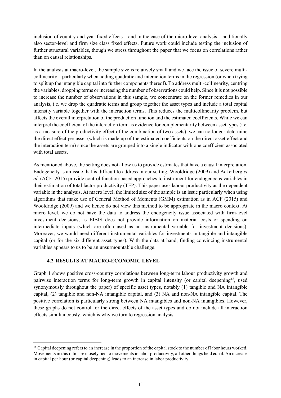inclusion of country and year fixed effects – and in the case of the micro-level analysis – additionally also sector-level and firm size class fixed effects. Future work could include testing the inclusion of further structural variables, though we stress throughout the paper that we focus on correlations rather than on causal relationships.

In the analysis at macro-level, the sample size is relatively small and we face the issue of severe multicollinearity – particularly when adding quadratic and interaction terms in the regression (or when trying to split up the intangible capital into further components thereof). To address multi-collinearity, centring the variables, dropping terms or increasing the number of observations could help. Since it is not possible to increase the number of observations in this sample, we concentrate on the former remedies in our analysis, i.e. we drop the quadratic terms and group together the asset types and include a total capital intensity variable together with the interaction terms. This reduces the multicollinearity problem, but affects the overall interpretation of the production function and the estimated coefficients. While we can interpret the coefficient of the interaction term as evidence for complementarity between asset types (i.e. as a measure of the productivity effect of the combination of two assets), we can no longer determine the direct effect per asset (which is made up of the estimated coefficients on the direct asset effect and the interaction term) since the assets are grouped into a single indicator with one coefficient associated with total assets.

As mentioned above, the setting does not allow us to provide estimates that have a causal interpretation. Endogeneity is an issue that is difficult to address in our setting. Wooldridge (2009) and Ackerberg *et al*. (ACF, 2015) provide control function-based approaches to instrument for endogeneous variables in their estimation of total factor productivity (TFP). This paper uses labour productivity as the dependent variable in the analysis. At macro level, the limited size of the sample is an issue particularly when using algorithms that make use of General Method of Moments (GMM) estimation as in ACF (2015) and Wooldridge (2009) and we hence do not view this method to be appropriate in the macro context. At micro level, we do not have the data to address the endogeneity issue associated with firm-level investment decisions, as EIBIS does not provide information on material costs or spending on intermediate inputs (which are often used as an instrumental variable for investment decisions). Moreover, we would need different instrumental variables for investments in tangible and intangible capital (or for the six different asset types). With the data at hand, finding convincing instrumental variables appears to us to be an unsurmountable challenge.

## **4.2 RESULTS AT MACRO-ECONOMIC LEVEL**

<u>.</u>

Graph 1 shows positive cross-country correlations between long-term labour productivity growth and pairwise interaction terms for long-term growth in capital intensity (or capital deepening<sup>[18](#page-16-0)</sup>, used synonymously throughout the paper) of specific asset types, notably (1) tangible and NA intangible capital, (2) tangible and non-NA intangible capital, and (3) NA and non-NA intangible capital. The positive correlation is particularly strong between NA intangibles and non-NA intangibles. However, these graphs do not control for the direct effects of the asset types and do not include all interaction effects simultaneously, which is why we turn to regression analysis.

<span id="page-16-0"></span><sup>&</sup>lt;sup>18</sup> Capital deepening refers to an increase in the proportion of the capital stock to the number of labor hours worked. Movements in this ratio are closely tied to movements in labor productivity, all other things held equal. An increase in capital per hour (or capital deepening) leads to an increase in labor productivity.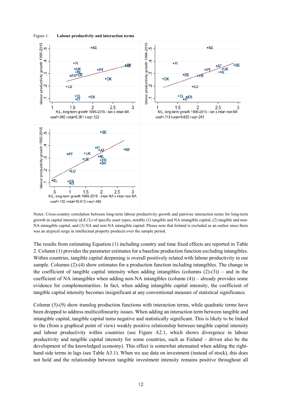

Figure 1. **Labour productivity and interaction terms**

Notes: Cross-country correlation between long-term labour productivity growth and pairwise interaction terms for long-term growth in capital intensity  $(\Delta K/L)$  of specific asset types, notably (1) tangible and NA intangible capital, (2) tangible and non-NA intangible capital, and (3) NA and non-NA intangible capital. Please note that Ireland is excluded as an outlier since there was an atypical surge in intellectual property products over the sample period.

The results from estimating Equation (1) including country and time fixed effects are reported in Table 2. Column (1) provides the parameter estimates for a baseline production function excluding intangibles. Within countries, tangible capital deepening is overall positively related with labour productivity in our sample. Columns (2)-(4) show estimates for a production function including intangibles. The change in the coefficient of tangible capital intensity when adding intangibles (columns  $(2)-(3)$ ) – and in the coefficient of NA intangibles when adding non-NA intangibles (column (4)) – already provides some evidence for complementarities. In fact, when adding intangible capital intensity, the coefficient of tangible capital intensity becomes insignificant at any conventional measure of statistical significance.

Column (5)-(9) show translog production functions with interaction terms, while quadratic terms have been dropped to address multicollinearity issues. When adding an interaction term between tangible and intangible capital, tangible capital turns negative and statistically significant. This is likely to be linked to the (from a graphical point of view) weakly positive relationship between tangible capital intensity and labour productivity within countries (see Figure A2.1, which shows divergence in labour productivity and tangible capital intensity for some countries, such as Finland – driven also be the development of the knowledged economy). This effect is somewhat attenuated when adding the righthand side terms in lags (see Table A3.1). When we use data on investment (instead of stock), this does not hold and the relationship between tangible investment intensity remains positive throughout all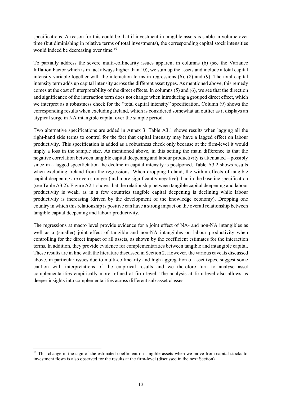specifications. A reason for this could be that if investment in tangible assets is stable in volume over time (but diminishing in relative terms of total investments), the corresponding capital stock intensities would indeed be decreasing over time. [19](#page-18-0)

To partially address the severe multi-collinearity issues apparent in columns (6) (see the Variance Inflation Factor which is in fact always higher than 10), we sum up the assets and include a total capital intensity variable together with the interaction terms in regressions (6), (8) and (9). The total capital intensity term adds up capital intensity across the different asset types. As mentioned above, this remedy comes at the cost of interpretability of the direct effects. In columns (5) and (6), we see that the direction and significance of the interaction term does not change when introducing a grouped direct effect, which we interpret as a robustness check for the "total capital intensity" specification. Column (9) shows the corresponding results when excluding Ireland, which is considered somewhat an outlier as it displays an atypical surge in NA intangible capital over the sample period.

Two alternative specifications are added in Annex 3: Table A3.1 shows results when lagging all the right-hand side terms to control for the fact that capital intensity may have a lagged effect on labour productivity. This specification is added as a robustness check only because at the firm-level it would imply a loss in the sample size. As mentioned above, in this setting the main difference is that the negative correlation between tangible capital deepening and labour productivity is attenuated – possibly since in a lagged specifictation the decline in capital intensity is postponed. Table A3.2 shows results when excluding Ireland from the regressions. When dropping Ireland, the within effects of tangible capital deepening are even stronger (and more significantly negative) than in the baseline specification (see Table A3.2). Figure A2.1 shows that the relationship between tangible capital deepening and labour productivity is weak, as in a few countries tangible capital deepening is declining while labour productivity is increasing (driven by the development of the knowledge economy). Dropping one country in which this relationship is positive can have a strong impact on the overall relationship between tangible capital deepening and labour productivity.

The regressions at macro level provide evidence for a joint effect of NA- and non-NA intangibles as well as a (smaller) joint effect of tangible and non-NA intangibles on labour productivity when controlling for the direct impact of all assets, as shown by the coefficient estimates for the interaction terms. In addition, they provide evidence for complementarities between tangible and intangible capital. These results are in line with the literature discussed in Section 2. However, the various caveats discussed above, in particular issues due to multi-collinearity and high aggregation of asset types, suggest some caution with interpretations of the empirical results and we therefore turn to analyse asset complementarities empirically more refined at firm level. The analysis at firm-level also allows us deeper insights into complementarities across different sub-asset classes.

 $\overline{\phantom{a}}$ 

<span id="page-18-0"></span><sup>&</sup>lt;sup>19</sup> This change in the sign of the estimated coefficient on tangible assets when we move from capital stocks to investment flows is also observed for the results at the firm-level (discussed in the next Section).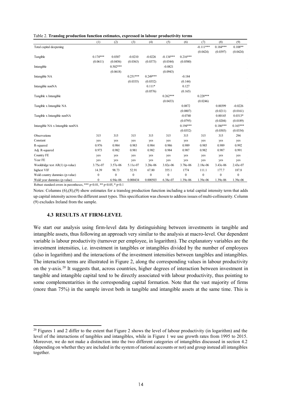|  |  |  | Table 2. Translog production function estimates, expressed in labour productivity terms |  |
|--|--|--|-----------------------------------------------------------------------------------------|--|
|  |  |  |                                                                                         |  |

|                                   | (1)          | (2)          | (3)        | (4)        | (5)          | (6)          | (7)          | (8)          | (9)          |
|-----------------------------------|--------------|--------------|------------|------------|--------------|--------------|--------------|--------------|--------------|
| Total capital deepening           |              |              |            |            |              |              | $-0.111***$  | $0.184***$   | $0.108**$    |
|                                   |              |              |            |            |              |              | (0.0424)     | (0.0397)     | (0.0424)     |
| Tangible                          | $0.174***$   | 0.0307       | $-0.0210$  | $-0.0226$  | $-0.134***$  | $0.216***$   |              |              |              |
|                                   | (0.0611)     | (0.0456)     | (0.0363)   | (0.0373)   | (0.0344)     | (0.0580)     |              |              |              |
| Intangible                        |              | $0.502***$   |            |            | $-0.0821$    |              |              |              |              |
|                                   |              | (0.0618)     |            |            | (0.0943)     |              |              |              |              |
| Intangible NA                     |              |              | $0.251***$ | $0.249***$ |              | $-0.184$     |              |              |              |
|                                   |              |              | (0.0335)   | (0.0352)   |              | (0.144)      |              |              |              |
| Intangible nonNA                  |              |              |            | $0.111*$   |              | 0.127        |              |              |              |
|                                   |              |              |            | (0.0576)   |              | (0.165)      |              |              |              |
| Tangible x Intangible             |              |              |            |            | $0.262***$   |              | $0.228***$   |              |              |
|                                   |              |              |            |            | (0.0433)     |              | (0.0246)     |              |              |
| Tangible x Intangible NA          |              |              |            |            |              | 0.0872       |              | 0.00399      | $-0.0226$    |
|                                   |              |              |            |            |              | (0.0807)     |              | (0.0211)     | (0.0161)     |
| Tangible x Intangible nonNA       |              |              |            |            |              | $-0.0740$    |              | 0.00145      | $0.0313*$    |
|                                   |              |              |            |            |              | (0.0795)     |              | (0.0204)     | (0.0189)     |
| Intangible NA x Intangible nonNA  |              |              |            |            |              | $0.194***$   |              | $0.186***$   | $0.165***$   |
|                                   |              |              |            |            |              | (0.0352)     |              | (0.0303)     | (0.0334)     |
| Observations                      | 315          | 315          | 315        | 315        | 315          | 315          | 315          | 315          | 294          |
| Constant                          | yes          | yes          | yes        | yes        | yes          | yes          | yes          | yes          | yes          |
| R-squared                         | 0.976        | 0.984        | 0.983      | 0.984      | 0.986        | 0.989        | 0.985        | 0.989        | 0.992        |
| Adj. R-squared                    | 0.973        | 0.982        | 0.981      | 0.982      | 0.984        | 0.987        | 0.982        | 0.987        | 0.991        |
| Country FE                        | yes          | yes          | yes        | yes        | yes          | yes          | yes          | yes          | yes          |
| Year FE                           | yes          | yes          | yes        | yes        | yes          | yes          | yes          | yes          | yes          |
| Wooldridge test $AR(1)$ (p-value) | 3.75e-07     | 3.57e-06     | 5.11e-07   | 3.20e-06   | 3.82e-06     | 3.78e-06     | 2.18e-06     | 3.43e-06     | 2.43e-07     |
| highest VIF                       | 14.39        | 98.73        | 52.91      | 67.80      | 355.1        | 1774         | 111.1        | 177.7        | 187.8        |
| Wald country dummies (p-value)    | $\mathbf{0}$ | $\mathbf{0}$ | 0          | $\bf{0}$   | $\mathbf{0}$ | $\mathbf{0}$ | $\mathbf{0}$ | $\mathbf{0}$ | $\mathbf{0}$ |
| Wald year dummies (p-value)       | $\mathbf{0}$ | 6.94e-06     | 0.000434   | 0.000503   | 6.38e-07     | 1.39e-06     | 1.39e-06     | 1.39e-06     | 1.39e-06     |

Robust standard errors in parentheses, \*\*\* p<0.01, \*\* p<0.05, \* p<0.1

Notes: Columns (6),(8),(9) show estimates for a translog production function including a total capital intensity term that adds up capital intensity across the different asset types. This specification was chosen to address issues of multi-collinearity. Column (9) excludes Ireland from the sample.

#### **4.3 RESULTS AT FIRM-LEVEL**

**.** 

We start our analysis using firm-level data by distinguishing between investments in tangible and intangible assets, thus following an approach very similar to the analysis at macro-level. Our dependent variable is labour productivity (turnover per employee, in logarithm). The explanatory variables are the investment intensities, i.e. investment in tangibles or intangibles divided by the number of employees (also in logarithm) and the interactions of the investment intensities between tangibles and intangibles. The interaction terms are illustrated in Figure 2, along the corresponding values in labour productivity on the y-axis.<sup>[20](#page-19-0)</sup> It suggests that, across countries, higher degrees of interaction between investment in tangible and intangible capital tend to be directly associated with labour productivity, thus pointing to some complementarities in the corresponding capital formation. Note that the vast majority of firms (more than 75%) in the sample invest both in tangible and intangible assets at the same time. This is

<span id="page-19-0"></span><sup>&</sup>lt;sup>20</sup> Figures 1 and 2 differ to the extent that Figure 2 shows the level of labour productivity (in logarithm) and the level of the interactions of tangibles and intangibles, while in Figure 1 we use growth rates from 1995 to 2015. Moreover, we do not make a distinction into the two different categories of intangibles discussed in section 4.2 (depending on whether they are included in the system of national accounts or not) and group instead all intangibles together.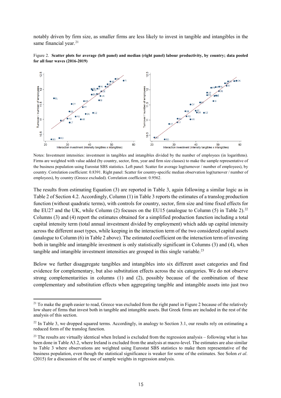notably driven by firm size, as smaller firms are less likely to invest in tangible and intangibles in the same financial year.<sup>[21](#page-20-0)</sup>





Notes: Investment intensities: investment in tangibles and intangibles divided by the number of employees (in logarithms). Firms are weighted with value added (by country, sector, firm, year and firm size classes) to make the sample representative of the business population using Eurostat SBS statistics. Left panel: Scatter for average log(turnover / number of employees), by country. Correlation coefficient: 0.8391. Right panel: Scatter for country-specific median observation log(turnover / number of employees), by country (Greece excluded). Correlation coefficient: 0.9562.

The results from estimating Equation (3) are reported in Table 3, again following a similar logic as in Table 2 of Section 4.2. Accordingly, Column (1) in Table 3 reports the estimates of a translog production function (without quadratic terms), with controls for country, sector, firm size and time fixed effects for the EU27 and the UK, while Column (2) focuses on the EU15 (analogue to Column (5) in Table 2).<sup>[22](#page-20-1)</sup> Columns (3) and (4) report the estimates obtained for a simplified production function including a total capital intensity term (total annual investment divided by employment) which adds up capital intensity across the different asset types, while keeping in the interaction term of the two considered capital assets (analogue to Column (6) in Table 2 above). The estimated coefficient on the interaction term of investing both in tangible and intangible investment is only statistically significant in Columns (3) and (4), when tangible and intangible investment intensities are grouped in this single variable.<sup>[23](#page-20-2)</sup>

Below we further disaggregate tangibles and intangibles into six different asset categories and find evidence for complementary, but also substitution effects across the six categories. We do not observe strong complementarities in columns (1) and (2), possibly because of the combination of these complementary and substitution effects when aggregating tangible and intangible assets into just two

 $\overline{\phantom{a}}$ 

<span id="page-20-0"></span> $21$  To make the graph easier to read, Greece was excluded from the right panel in Figure 2 because of the relatively low share of firms that invest both in tangible and intangible assets. But Greek firms are included in the rest of the analysis of this section.

<span id="page-20-1"></span> $^{22}$  In Table 3, we dropped squared terms. Accordingly, in analogy to Section 3.1, our results rely on estimating a reduced form of the translog function.

<span id="page-20-2"></span> $^{23}$  The results are virtually identical when Ireland is excluded from the regression analysis – following what is has been done in Table A3.2, where Ireland is excluded from the analysis at macro-level. The estimates are also similar to Table 3 where observations are weighted using Eurostat SBS statistics to make them representative of the business population, even though the statistical significance is weaker for some of the estimates. See Solon *et al*. (2015) for a discussion of the use of sample weights in regression analysis.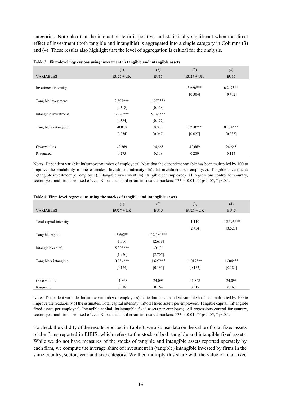categories. Note also that the interaction term is positive and statistically significant when the direct effect of investment (both tangible and intangible) is aggregated into a single category in Columns (3) and (4). These results also highlight that the level of aggregation is critical for the analysis.

|                       | (1)         | (2)        | (3)         | (4)        |
|-----------------------|-------------|------------|-------------|------------|
| <b>VARIABLES</b>      | $EU27 + UK$ | EU15       | $EU27 + UK$ | EU15       |
| Investment intensity  |             |            | $6.666***$  | $6.247***$ |
|                       |             |            | [0.304]     | [0.402]    |
| Tangible investment   | $2.597***$  | $1.273***$ |             |            |
|                       | [0.318]     | [0.428]    |             |            |
| Intangible investment | $6.226***$  | $5.146***$ |             |            |
|                       | [0.384]     | [0.477]    |             |            |
| Tangible x intangible | $-0.020$    | 0.085      | $0.250***$  | $0.174***$ |
|                       | [0.054]     | [0.067]    | [0.027]     | [0.033]    |
|                       |             |            |             |            |
| Observations          | 42,669      | 24,665     | 42,669      | 24,665     |
| R-squared             | 0.275       | 0.108      | 0.280       | 0.114      |

|  |  |  | Table 3. Firm-level regressions using investment in tangible and intangible assets |
|--|--|--|------------------------------------------------------------------------------------|
|  |  |  |                                                                                    |

Notes: Dependent variable: ln(turnover/number of employees). Note that the dependent variable has been multiplied by 100 to improve the readability of the estimates. Investment intensity: ln(total investment per employee). Tangible investment: ln(tangible investment per employee). Intangible investment: ln(intangible per employee). All regressions control for country, sector, year and firm size fixed effects. Robust standard errors in squared brackets: \*\*\*  $p<0.01$ , \*\*  $p<0.05$ , \*  $p<0.1$ .

|                         | (1)         | (2)          | (3)         | (4)          |
|-------------------------|-------------|--------------|-------------|--------------|
| <b>VARIABLES</b>        | $EU27 + UK$ | EU15         | $EU27 + UK$ | EU15         |
|                         |             |              |             |              |
| Total capital intensity |             |              | 1.110       | $-12.396***$ |
|                         |             |              | [2.454]     | [3.527]      |
| Tangible capital        | $-3.662**$  | $-12.180***$ |             |              |
|                         | [1.856]     | [2.618]      |             |              |
| Intangible capital      | 5.395***    | $-0.626$     |             |              |
|                         | [1.950]     | [2.707]      |             |              |
| Tangible x intangible   | $0.984***$  | $1.627***$   | $1.017***$  | $1.604***$   |
|                         | [0.154]     | [0.191]      | [0.132]     | [0.184]      |
|                         |             |              |             |              |
| Observations            | 41,868      | 24,093       | 41,868      | 24,093       |
| R-squared               | 0.318       | 0.164        | 0.317       | 0.163        |

#### Table 4. **Firm-level regressions using the stocks of tangible and intangible assets**

Notes: Dependent variable: ln(turnover/number of employees). Note that the dependent variable has been multiplied by 100 to improve the readability of the estimates. Total capital intensity: ln(total fixed assets per employee). Tangible capital: ln(tangible fixed assets per employee). Intangible capital: ln(intangible fixed assets per employee). All regressions control for country, sector, year and firm size fixed effects. Robust standard errors in squared brackets: \*\*\*  $p<0.01$ , \*\*  $p<0.05$ , \*  $p<0.1$ .

To check the validity of the results reported in Table 3, we also use data on the value of total fixed assets of the firms reported in EIBIS, which refers to the stock of both tangible and intangible fixed assets. While we do not have measures of the stocks of tangible and intangible assets reported sperately by each firm, we compute the average share of investment in (tangible) intangible invested by firms in the same country, sector, year and size category. We then multiply this share with the value of total fixed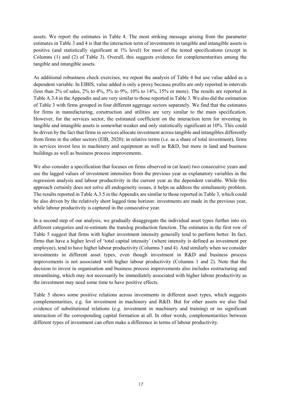assets. We report the estimates in Table 4. The most striking message arising from the parameter estimates in Table 3 and 4 is that the interaction term of investments in tangible and intangible assets is positive (and statistically significant at 1% level) for most of the tested specifications (except in Columns (1) and (2) of Table 3). Overall, this suggests evidence for complementarities among the tangible and intangible assets.

As additional robustness check exercises, we repeat the analysis of Table 4 but use value added as a dependent variable. In EIBIS, value added is only a proxy because profits are only reported in intervals (less than 2% of sales, 2% to 4%, 5% to 9%, 10% to 14%, 15% or more). The results are reported in Table A.3.4 in the Appendix and are very similar to those reported in Table 3. We also did the estimation of Table 3 with firms grouped in four different aggreage sectors separately. We find that the estimates for firms in manufacturing, construction and utilities are very similar to the main specification. However, for the services sector, the estimated coefficient on the interaction term for investing in tangible and intangible assets is somewhat weaker and only statistically significant at 10%. This could be driven by the fact that firms in services allocate investment across tangible and intangibles differently from firms in the other sectors (EIB, 2020): in relative terms (i.e. as a share of total investment), firms in services invest less in machinery and equipment as well as R&D, but more in land and business buildings as well as business process improvements.

We also consider a specification that focuses on firms observed in (at least) two consecutive years and use the lagged values of investment intensities from the previous year as explanatory variables in the regression analysis and labour productivity in the current year as the dependent variable. While this approach certainly does not solve all endogeneity issues, it helps us address the simultaneity problem. The results reported in Table A.3.5 in the Appendix are similar to those reported in Table 3, which could be also driven by the relatively short lagged time horizon: investments are made in the previous year, while labour productivity is captured in the consecutive year.

In a second step of our analysis, we gradually disaggregate the individual asset types further into six different categories and re-estimate the translog production function. The estimates in the first row of Table 5 suggest that firms with higher investment intensity generally tend to perform better. In fact, firms that have a higher level of 'total capital intensity' (where intensity is defined as investment per employee), tend to have higher labour productivity (Columns 3 and 4). And similarly when we consider investments in different asset types, even though investment in R&D and business process improvements is not associated with higher labour productivity (Columns 1 and 2). Note that the decision to invest in organisation and business process improvements also includes restructuring and streamlining, which may not necessarily be immediately associated with higher labour productivity as the investment may need some time to have positive effects.

Table 5 shows some positive relations across investments in different asset types, which suggests complementarities, e.g. for investment in machinery and R&D. But for other assets we also find evidence of substitutional relations (e.g. investment in machinery and training) or no significant interaction of the corresponding capital formation at all. In other words, complementarities between different types of investment can often make a difference in terms of labour productivity.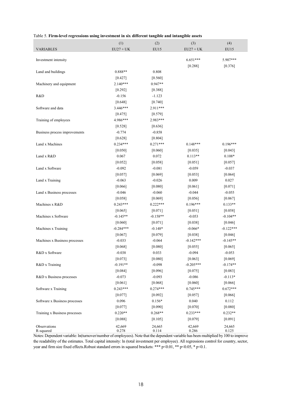|                               | (1)                   | (2)                   | (3)                    | (4)                   |
|-------------------------------|-----------------------|-----------------------|------------------------|-----------------------|
| VARIABLES                     | $EU27 + UK$           | EU15                  | $EU27 + UK$            | EU15                  |
| Investment intensity          |                       |                       | $6.651***$             | 5.907***              |
|                               |                       |                       | [0.288]                | [0.376]               |
| Land and buildings            | $0.888**$             | 0.808                 |                        |                       |
|                               | [0.427]               | [0.560]               |                        |                       |
| Machinery and equipment       | $2.140***$            | $0.947**$             |                        |                       |
|                               | [0.292]               | [0.388]               |                        |                       |
| R&D                           | $-0.156$              | $-1.123$              |                        |                       |
|                               | [0.648]               | [0.740]               |                        |                       |
| Software and data             | 3.446***              | 2.911***              |                        |                       |
|                               | [0.475]               | [0.579]               |                        |                       |
| Training of employees         | 4.986***              | 2.983***              |                        |                       |
|                               | [0.528]               | [0.636]               |                        |                       |
| Business process improvements | $-0.774$              | $-0.858$              |                        |                       |
| Land x Machines               | [0.628]<br>$0.234***$ | [0.804]<br>$0.271***$ | $0.148***$             | $0.196***$            |
|                               | [0.050]               | [0.060]               | [0.035]                | [0.043]               |
| Land x R&D                    | 0.067                 | 0.072                 | $0.113**$              | $0.108*$              |
|                               | [0.052]               | [0.058]               | [0.051]                | [0.057]               |
| Land x Software               | $-0.092$              | $-0.081$              | $-0.059$               | $-0.037$              |
|                               | [0.057]               | [0.069]               | [0.053]                | [0.064]               |
| Land x Training               | $-0.063$              | $-0.026$              | 0.009                  | 0.027                 |
|                               | [0.066]               | [0.080]               | [0.061]                | $[0.071]$             |
| Land x Business processes     | $-0.046$              | $-0.060$              | $-0.044$               | $-0.055$              |
|                               | [0.058]               | [0.069]               | [0.056]                | [0.067]               |
| Machines x R&D                | $0.243***$            | $0.222***$            | $0.196***$             | $0.133**$             |
|                               | [0.065]               | [0.071]               | [0.051]                | [0.058]               |
| Machines x Software           | $-0.145**$            | $-0.158**$            | $-0.053$               | $-0.104**$            |
|                               | [0.060]               | [0.071]               | [0.038]                | [0.046]               |
| Machines x Training           | $-0.284***$           | $-0.148*$             | $-0.066*$              | $-0.122***$           |
|                               | [0.067]               | [0.079]               | [0.038]                | [0.046]               |
| Machines x Business processes | $-0.033$              | $-0.064$              | $-0.142***$            | $-0.145**$            |
|                               | [0.068]               | [0.080]               | [0.055]                | [0.065]               |
| R&D x Software                | $-0.038$              | 0.033                 | $-0.094$               | $-0.053$              |
|                               | [0.073]<br>$-0.191**$ | [0.080]<br>$-0.098$   | [0.063]<br>$-0.205***$ | [0.069]<br>$-0.174**$ |
| R&D x Training                | [0.084]               | [0.096]               | [0.075]                |                       |
| R&D x Business processes      | $-0.073$              | $-0.093$              | $-0.086$               | [0.083]<br>$-0.113*$  |
|                               | [0.061]               | [0.068]               | [0.060]                | [0.066]               |
| Software x Training           | $0.243***$            | $0.274***$            | $0.745***$             | $0.672***$            |
|                               | [0.077]               | [0.092]               | [0.057]                | [0.066]               |
| Software x Business processes | 0.096                 | $0.156*$              | 0.040                  | 0.112                 |
|                               | [0.077]               | [0.090]               | [0.070]                | [0.080]               |
| Training x Business processes | $0.220**$             | $0.268**$             | $0.233***$             | $0.232**$             |
|                               | [0.088]               | [0.105]               | [0.079]                | $[0.091]$             |
| Observations                  | 42,669                | 24,665                | 42,669                 | 24,665                |
| R-squared                     | 0.278                 | 0.114                 | 0.286                  | 0.125                 |

#### Table 5. **Firm-level regressions using investment in six different tangible and intangible assets**

Notes: Dependent variable: ln(turnover/number of employees). Note that the dependent variable has been multiplied by 100 to improve the readability of the estimates. Total capital intensity: ln (total investment per employee). All regressions control for country, sector, year and firm size fixed effects.Robust standard errors in squared brackets: \*\*\* p<0.01, \*\* p<0.05, \* p<0.1.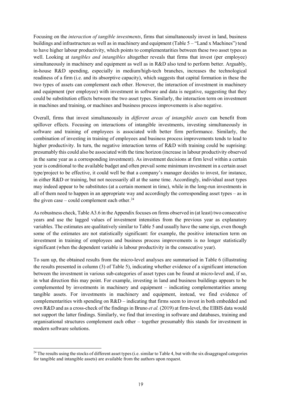Focusing on the *interaction of tangible investments*, firms that simultaneously invest in land, business buildings and infrastructure as well as in machinery and equipment (Table 5 – "Land x Machines") tend to have higher labour productivity, which points to complementarities between these two asset types as well. Looking at *tangibles and intangibles* altogether reveals that firms that invest (per employee) simultaneously in machinery and equipment as well as in R&D also tend to perform better. Arguably, in-house R&D spending, especially in medium/high-tech branches, increases the technological readiness of a firm (i.e. and its absorptive capacity), which suggests that capital formation in these the two types of assets can complement each other. However, the interaction of investment in machinery and equipment (per employee) with investment in software and data is negative, suggesting that they could be substitution effects between the two asset types. Similarly, the interaction term on investment in machines and training, or machines and business process improvements is also negative.

Overall, firms that invest simultaneously in *different areas of intangible assets* can benefit from spillover effects. Focusing on interactions of intangible investments, investing simultaneously in software and training of employees is associated with better firm performance. Similarly, the combination of investing in training of employees and business process improvements tends to lead to higher productivity. In turn, the negative interaction terms of R&D with training could be suprising: presumably this could also be associated with the time horizon (increase in labour productivity observed in the same year as a corresponding investment). As investment decisions at firm level within a certain year is conditional to the available budget and often prevail some minimum investment in a certain asset type/project to be effective, it could well be that a company's manager decides to invest, for instance, in either R&D or training, but not necessarily all at the same time. Accordingly, individual asset types may indeed appear to be substitutes (at a certain moment in time), while in the long-run investments in all of them need to happen in an appropriate way and accordingly the corresponding asset types – as in the given case – could complement each other.<sup>[24](#page-24-0)</sup>

As robustness check, Table A3.6 in the Appendix focuses on firms observed in (at least) two consecutive years and use the lagged values of investment intensities from the previous year as explanatory variables. The estimates are qualitatively similar to Table 5 and usually have the same sign, even though some of the estimates are not statistically significant: for example, the positive interaction term on investment in training of employees and business process improvements is no longer statistically significant (when the dependent variable is labour productivity in the consecutive year).

To sum up, the obtained results from the micro-level analyses are summarised in Table 6 (illustrating the results presented in column (3) of Table 5), indicating whether evidence of a significant interaction between the investment in various sub-categories of asset types can be found at micro-level and, if so, in what direction this may point. For example, investing in land and business buildings appears to be complemented by investments in machinery and equipment – indicating complementarities among tangible assets. For investments in machinery and equipment, instead, we find evidence of complementarities with spending on  $R&D$  – indicating that firms seem to invest in both embedded and own R&D and as a cross-check of the findings in Bruno *et al.* (2019) at firm-level, the EIBIS data would not support the latter findings. Similarly, we find that investing in software and databases, training and organisational structures complement each other – together presumably this stands for investment in modern software solutions.

 $\overline{\phantom{a}}$ 

<span id="page-24-0"></span> $24$  The results using the stocks of different asset types (i.e. similar to Table 4, but with the six disaggraged categories for tangible and intangible assets) are available from the authors upon request.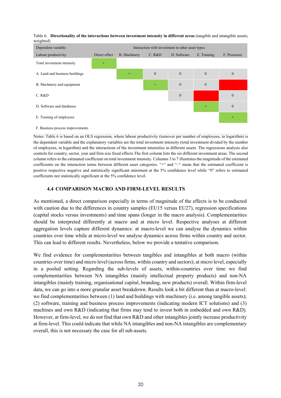| weighteu                         |                                                  |              |              |              |                |              |  |  |
|----------------------------------|--------------------------------------------------|--------------|--------------|--------------|----------------|--------------|--|--|
| Dependent variable:              | Interaction with investment in other asset types |              |              |              |                |              |  |  |
| Labour productivity              | Direct effect                                    | B. Machinery | C. R&D       | D. Software  | E. Training    | F. Processes |  |  |
| Total investment intensity       | $^{+}$                                           |              |              |              |                |              |  |  |
| A. Land and business buildings   |                                                  | $+$          | $\mathbf{0}$ | $\mathbf{0}$ | $\overline{0}$ | $\mathbf{0}$ |  |  |
| B. Machinery and equipment       |                                                  |              | $+$          | $\mathbf{0}$ | $\mathbf{0}$   |              |  |  |
| C. R&D                           |                                                  |              |              | $\mathbf{0}$ |                | $\mathbf{0}$ |  |  |
| D. Software and databases        |                                                  |              |              |              | $^{+}$         | $\mathbf{0}$ |  |  |
| E. Training of employees         |                                                  |              |              |              |                | $+$          |  |  |
| F. Business process improvements |                                                  |              |              |              |                |              |  |  |

Table 6. **Directionality of the interactions between investment intensity in different areas** (tangible and intangible assets; weighted)

Notes: Table 6 is based on an OLS regression, where labour productivity (turnover per number of employees, in logarithm) is the dependent variable and the explanatory variables are the total investment intensity (total investment divided by the number of employees, in logarithm) and the interactions of the investment intensities in different assets. The regressions analysis also controls for country, sector, year and firm size fixed effects.The first column lists the six different investment areas. The second column refers to the estimated coefficient on total investment intensity. Columns 3 to 7 illustrates the magnitude of the estimated coefficients on the interaction terms between different asset categories. "+" and "–" mean that the estimated coefficient is positive respective negative and statistically significant minimum at the 5% confidence level while "0" refers to estimated coefficients not statistically significant at the 5% confidence level.

## **4.4 COMPARISON MACRO AND FIRM-LEVEL RESULTS**

As mentioned, a direct comparison especially in terms of magnitude of the effects is to be conducted with caution due to the differences in country samples (EU15 versus EU27), regression specifications (capital stocks versus investments) and time spans (longer in the macro analysis). Complementarities should be interpreted differently at macro and at micro level. Respective analyses at different aggregation levels capture different dynamics: at macro-level we can analyse the dynamics within countries over time while at micro-level we analyse dynamics across firms within country and sector. This can lead to different results. Nevertheless, below we provide a tentative comparison.

We find evidence for complementarities between tangibles and intangibles at both macro (within countries over time) and micro level (across firms, within country and sectors); at micro level, especially in a pooled setting. Regarding the sub-levels of assets, within-countries over time we find complementarities between NA intangibles (mainly intellectual property products) and non-NA intangibles (mainly training, organisational capital, branding, new products) overall. Within firm-level data, we can go into a more granular asset breakdown. Results look a bit different than at macro-level: we find complementarities between (1) land and buildings with machinery (i.e. among tangible assets); (2) software, training and business process improvements (indicating modern ICT solutions) and (3) machines and own R&D (indicating that firms may tend to invest both in embedded and own R&D). However, at firm-level, we do not find that own R&D and other intangibles jointly increase productivity at firm-level. This could indicate that while NA intangibles and non-NA intangibles are complementary overall, this is not necessary the case for all sub-assets.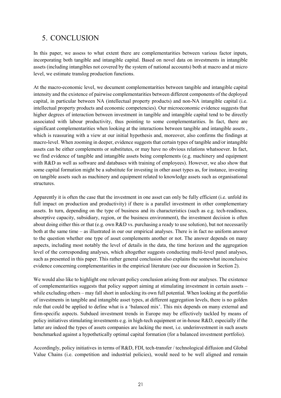## 5. CONCLUSION

In this paper, we assess to what extent there are complementarities between various factor inputs, incorporating both tangible and intangible capital. Based on novel data on investments in intangible assets (including intangibles not covered by the system of national accounts) both at macro and at micro level, we estimate translog production functions.

At the macro-economic level, we document complementarities between tangible and intangible capital intensity and the existence of pairwise complementarities between different components of the deployed capital, in particular between NA (intellectual property products) and non-NA intangible capital (i.e. intellectual property products and economic competencies). Our microeconomic evidence suggests that higher degrees of interaction between investment in tangible and intangible capital tend to be directly associated with labour productivity, thus pointing to some complementarities. In fact, there are significant complementarities when looking at the interactions between tangible and intangible assets , which is reassuring with a view at our initial hypothesis and, moreover, also confirms the findings at macro-level. When zooming in deeper, evidence suggests that certain types of tangible and/or intangible assets can be either complements or substitutes, or may have no obvious relations whatsoever. In fact, we find evidence of tangible and intangible assets being complements (e.g. machinery and equipment with R&D as well as software and databases with training of employees). However, we also show that some capital formation might be a substitute for investing in other asset types as, for instance, investing on tangible assets such as machinery and equipment related to knowledge assets such as organisational structures.

Apparently it is often the case that the investment in one asset can only be fully efficient (i.e. unfold its full impact on production and productivity) if there is a parallel investment in other complementary assets. In turn, depending on the type of business and its characteristics (such as e.g. tech-readiness, absorptive capacity, subsidiary, region, or the business environment), the investment decision is often about doing either this or that (e.g. own R&D vs. purchasing a ready to use solution), but not necessarily both at the same time – as illustrated in our our empirical analyses. There is in fact no uniform answer to the question whether one type of asset complements another or not. The answer depends on many aspects, including most notably the level of details in the data, the time horizon and the aggregation level of the corresponding analyses, which altogether suggests conducting multi-level panel analyses, such as presented in this paper. This rather general conclusion also explains the somewhat inconclusive evidence concerning complementarities in the empirical literature (see our discussion in Section 2).

We would also like to highlight one relevant policy conclusion arising from our analyses. The existence of complementarities suggests that policy support aiming at stimulating investment in certain assets – while excluding others – may fall short in unlocking its own full potential. When looking at the portfolio of investments in tangible and intangible asset types, at different aggregation levels, there is no golden rule that could be applied to define what is a 'balanced mix'. This mix depends on many external and firm-specific aspects. Subdued investment trends in Europe may be effectively tackled by means of policy initiatives stimulating investments e.g. in high-tech equipment or in-house R&D, especially if the latter are indeed the types of assets companies are lacking the most, i.e. underinvestment in such assets benchmarked against a hypothetically optimal capital formation (for a balanced investment portfolio).

Accordingly, policy initiatives in terms of R&D, FDI, tech-transfer / technological diffusion and Global Value Chains (i.e. competition and industrial policies), would need to be well aligned and remain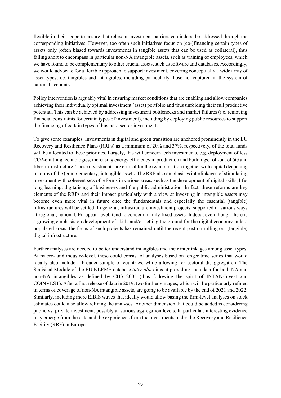flexible in their scope to ensure that relevant investment barriers can indeed be addressed through the corresponding initiatives. However, too often such initiatives focus on (co-)financing certain types of assets only (often biased towards investments in tangible assets that can be used as collateral), thus falling short to encompass in particular non-NA intangible assets, such as training of employees, which we have found to be complementary to other crucial assets, such as software and databases. Accordingly, we would advocate for a flexible approach to support investment, covering conceptually a wide array of asset types, i.e. tangibles and intangibles, including particularly those not captured in the system of national accounts.

Policy intervention is arguably vital in ensuring market conditions that are enabling and allow companies achieving their individually optimal investment (asset) portfolio and thus unfolding their full productive potential. This can be achieved by addressing investment bottlenecks and market failures (i.e. removing financial constraints for certain types of investment), including by deploying public resources to support the financing of certain types of business sector investments.

To give some examples: Investments in digital and green transition are anchored prominently in the EU Recovery and Resilience Plans (RRPs) as a minimum of 20% and 37%, respectively, of the total funds will be allocated to these priorities. Largely, this will concern tech investments, e.g. deployment of less CO2-emitting technologies, increasing energy efficiency in production and buildings, roll-out of 5G and fiber-infrastructure. These investments are critical for the twin transition together with capital deepening in terms of the (complementary) intangible assets. The RRF also emphasises interlinkages of stimulating investment with coherent sets of reforms in various areas, such as the development of digital skills, lifelong learning, digitalising of businesses and the public administration. In fact, these reforms are key elements of the RRPs and their impact particularly with a view at investing in intangible assets may become even more vital in future once the fundamentals and especially the essential (tangible) infrastructures will be settled. In general, infrastructure investment projects, supported in various ways at regional, national, European level, tend to concern mainly fixed assets. Indeed, even though there is a growing emphasis on development of skills and/or setting the ground for the digital economy in less populated areas, the focus of such projects has remained until the recent past on rolling out (tangible) digital infrastructure.

Further analyses are needed to better understand intangibles and their interlinkages among asset types. At macro- and industry-level, these could consist of analyses based on longer time series that would ideally also include a broader sample of countries, while allowing for sectoral disaggregation. The Statisical Module of the EU KLEMS database *inter alia* aims at providing such data for both NA and non-NA intangibles as defined by CHS 2005 (thus following the spirit of INTAN-Invest and COINVEST). After a first release of data in 2019, two further vintages, which will be particularly refined in terms of coverage of non-NA intangible assets, are going to be available by the end of 2021 and 2022. Similarly, including more EIBIS waves that ideally would allow basing the firm-level analyses on stock estimates could also allow refining the analyses. Another dimension that could be added is considering public vs. private investment, possibly at various aggregation levels. In particular, interesting evidence may emerge from the data and the experiences from the investments under the Recovery and Resilience Facility (RRF) in Europe.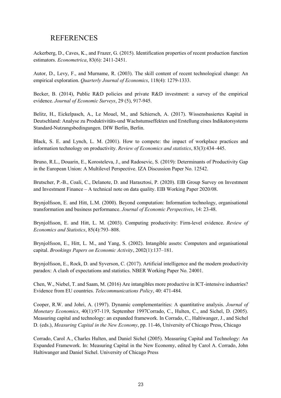## REFERENCES

Ackerberg, D., Caves, K., and Frazer, G. (2015). Identification properties of recent production function estimators. *Econometrica*, 83(6): 2411-2451.

Autor, D., Levy, F., and Murname, R. (2003). The skill content of recent technological change: An empirical exploration. *Quarterly Journal of Economics*, 118(4): 1279-1333.

Becker, B. (2014), Public R&D policies and private R&D investment: a survey of the empirical evidence. *Journal of Economic Surveys*, 29 (5), 917-945.

Belitz, H., Eickelpasch, A., Le Mouel, M., and Schiersch, A. (2017). Wissensbasiertes Kapital in Deutschland: Analyse zu Produktivitäts-und Wachstumseffekten und Erstellung eines Indikatorsystems Standard-Nutzungsbedingungen. DIW Berlin, Berlin.

Black, S. E. and Lynch, L. M. (2001). How to compete: the impact of workplace practices and information technology on productivity. *Review of Economics and statistics*, 83(3):434–445.

Bruno, R.L., Douarin, E., Korosteleva, J., and Radosevic, S. (2019): Determinants of Productivity Gap in the European Union: A Multilevel Perspective. IZA Discussion Paper No. 12542.

Brutscher, P.-B., Coali, C., Delanote, D. and Harasztosi, P. (2020). EIB Group Survey on Investment and Investment Finance – A technical note on data quality. EIB Working Paper 2020/08.

Brynjolfsson, E. and Hitt, L.M. (2000). Beyond computation: Information technology, organisational transformation and business performance. *Journal of Economic Perspectives*, 14: 23-48.

Brynjolfsson, E. and Hitt, L. M. (2003). Computing productivity: Firm-level evidence. *Review of Economics and Statistics*, 85(4):793–808.

Brynjolfsson, E., Hitt, L. M., and Yang, S. (2002). Intangible assets: Computers and organisational capital. *Brookings Papers on Economic Activity*, 2002(1):137–181.

Brynjolfsson, E., Rock, D. and Syverson, C. (2017). Artificial intelligence and the modern productivity paradox: A clash of expectations and statistics. NBER Working Paper No. 24001.

Chen, W., Niebel, T. and Saam, M. (2016) Are intangibles more productive in ICT-intensive industries? Evidence from EU countries. *Telecommunications Policy*, 40: 471-484.

[Cooper,](https://www.sciencedirect.com/science/article/abs/pii/S0304393297000329#!) R.W. and [Johri, A. \(1997\). D](https://www.sciencedirect.com/science/article/abs/pii/S0304393297000329#!)ynamic complementarities: A quantitative analysis. *Journal of Monetary Economics*, 40(1):97-119, September 1997Corrado, C., Hulten, C., and Sichel, D. (2005). Measuring capital and technology: an expanded framework. In Corrado, C., Haltiwanger, J., and Sichel D. (eds.), *Measuring Capital in the New Economy*, pp. 11-46, University of Chicago Press, Chicago

Corrado, Carol A., Charles Hulten, and Daniel Sichel (2005). Measuring Capital and Technology: An Expanded Framework. In: Measuring Capital in the New Economy, edited by Carol A. Corrado, John Haltiwanger and Daniel Sichel. University of Chicago Press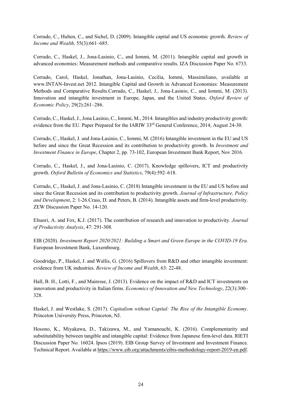Corrado, C., Hulten, C., and Sichel, D. (2009). Intangible capital and US economic growth. *Review of Income and Wealth,* 55(3):661–685.

Corrado, C., Haskel, J., Jona-Lasinio, C., and Iommi, M. (2011). Intangible capital and growth in advanced economies: Measurement methods and comparative results. IZA Discussion Paper No. 6733.

Corrado, Carol, Haskel, Jonathan, Jona-Lasinio, Cecilia, Iommi, Massimiliano, available at www.INTAN-Invest.net 2012. Intangible Capital and Growth in Advanced Economies: Measurement Methods and Comparative Results.Corrado, C., Haskel, J., Jona-Lasinio, C., and Iommi, M. (2013). Innovation and intangible investment in Europe, Japan, and the United States. *Oxford Review of Economic Policy*, 29(2):261–286.

Corrado, C., Haskel, J., Jona Lasinio, C., Iommi, M., 2014. Intangibles and industry productivity growth: evidence from the EU. Paper Prepared for the IARIW 33<sup>rd</sup> General Conference, 2014, August 24-30.

Corrado, C., Haskel, J. and Jona-Lasinio, C., Iommi, M. (2016[\) Intangible investment in the EU and US](http://www.eib.org/attachments/efs/investment_and_investment_finance_in_europe_2016_en.pdf)  [before and since the Great Recession and its contribution to productivity growth.](http://www.eib.org/attachments/efs/investment_and_investment_finance_in_europe_2016_en.pdf) In *Investment and Investment Finance in Europe*, Chapter 2, pp. 73-102, European Investment Bank Report, Nov 2016.

Corrado, C., Haskel, J., and Jona-Lasinio, C. (2017). Knowledge spillovers, ICT and productivity growth. *Oxford Bulletin of Economics and Statistics*, 79(4):592–618.

Corrado, C., Haskel, J. and Jona-Lasinio, C. (2018) Intangible investment in the EU and US before and since the Great Recession and its contribution to productivity growth. *Journal of Infrastructure, Policy and Development*, 2: 1-26.Crass, D. and Peters, B. (2014). Intangible assets and firm-level productivity. ZEW Discussion Paper No. 14-120.

Elnasri, A. and Fox, K.J. (2017). The contribution of research and innovation to productivity. *Journal of Productivity Analysis*, 47: 291-308.

EIB (2020). *Investment Report 2020/2021: Building a Smart and Green Europe in the COVID-19 Era.* European Investment Bank, Luxembourg.

Goodridge, P., Haskel, J. and Wallis, G. (2016) Spillovers from R&D and other intangible investment: evidence from UK industries. *Review of Income and Wealth*, 63: 22-48.

Hall, B. H., Lotti, F., and Mairesse, J. (2013). Evidence on the impact of R&D and ICT investments on innovation and productivity in Italian firms. *Economics of Innovation and New Technology*, 22(3):300– 328.

Haskel, J. and Westlake, S. (2017). *Capitalism without Capital: The Rise of the Intangible Economy*. Princeton University Press, Princeton, NJ.

Hosono, K., Miyakawa, D., Takizawa, M., and Yamanouchi, K. (2016). Complementarity and substitutability between tangible and intangible capital: Evidence from Japanese firm-level data. RIETI Discussion Paper No. 16024. Ipsos (2019). EIB Group Survey of Investment and Investment Finance. Technical Report. Available a[t https://www.eib.org/attachments/eibis-methodology-report-2019-en.pdf.](https://www.eib.org/attachments/eibis-methodology-report-2019-en.pdf)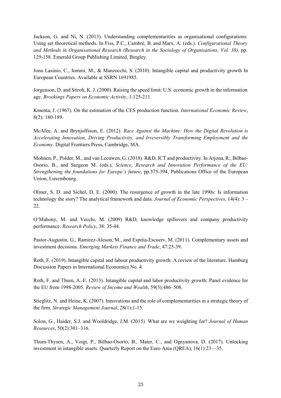[Jackson, G.](https://www.emerald.com/insight/search?q=Gregory%20Jackson) and [Ni, N.](https://www.emerald.com/insight/search?q=Na%20Ni) (2013). Understanding complementarities as organisational configurations: Using set theoretical methods. In [Fiss, P.C.,](https://www.emerald.com/insight/search?q=Peer%20C.%20Fiss) [Cambré, B.](https://www.emerald.com/insight/search?q=Bart%20Cambr%C3%A9) and [Marx, A.](https://www.emerald.com/insight/search?q=Axel%20Marx) (eds.). *Configurational Theory and Methods in Organisational Research (Research in the Sociology of Organisations, Vol. 38),* pp. 129-158. Emerald Group Publishing Limited, Bingley.

Jona Lasinio, C., Iommi, M., & Manzocchi, S. (2010). Intangible capital and productivity growth In European Countries. Available at SSRN 1691985.

Jorgenson, D. and Stiroh, K. J. (2000). Raising the speed limit: U.S. economic growth in the information age. *Brookings Papers on Economic Activity*, 1:125-211.

Kmenta, J. (1967). On the estimation of the CES production function. *International Economic Review*, 8(2): 180-189.

McAfee, A. and Brynjolfsson, E. (2012). *Race Against the Machine: How the Digital Revolution is Accelerating Innovation, Driving Productivity, and Irreversibly Transforming Employment and the Economy*. Digital Frontiers Press, Cambridge, MA.

Mohnen, P., Polder, M., and van Leeuwen, G. (2018). R&D, ICT and productivity. In Arjona, R., Bilbao-Osorio, B., and Surgeon M. (eds.), *Science, Research and Innovation Performance of the EU: Strengthening the foundations for Europe's future*, pp.375-394, Publications Office of the European Union, Luxembourg.

Oliner, S. D. and Sichel, D. E. (2000). The resurgence of growth in the late 1990s: Is information technology the story? The analytical framework and data. *Journal of Economic Perspectives*, 14(4): 3 – 22.

O'Mahony, M. and Vecchi, M. (2009) R&D, knowledge spillovers and company productivity performance. *Research Policy*, 38: 35-44.

Pastor-Augustin, G., Ramirez-Aleson, M., and Espitia-Escuerv, M. (2011). Complementary assets and investment decisions. *Emerging Markets Finance and Trade*, 47:25-39.

Roth, F. (2019). Intangible capital and labour productivity growth: A review of the literature. Hamburg Discussion Papers in International Economics No. 4.

Roth, F. and Thum, A.-E. (2013). Intangible capital and labor productivity growth: Panel evidence for the EU from 1998-2005. *Review of Income and Wealth*, 59(3):486–508.

Stieglitz, N. and Heine, K. (2007). Innovations and the role of complementarities in a strategic theory of the firm. *Strategic Management Journal*, [28\(1\)](https://onlinelibrary.wiley.com/toc/10970266/2007/28/1):1-15.

Solon, G., Haider, S.J. and Wooldridge, J.M. (2015). What are we weighting for? *Journal of Human Resources*, 50(2):301–316.

Thum-Thysen, A., Voigt, P., Bilbao-Osorio, B., Maier, C., and Ognyanova, D. (2017). Unlocking investment in intangible assets. Quarterly Report on the Euro Area (QREA), 16(1):23—35.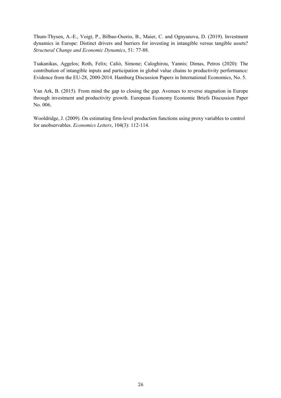Thum-Thysen, A.-E., Voigt, P., Bilbao-Osorio, B., Maier, C. and Ognyanova, D. (2019). Investment dynamics in Europe: Distinct drivers and barriers for investing in intangible versus tangible assets? *Structural Change and Economic Dynamics*, 51: 77-88.

Tsakanikas, Aggelos; Roth, Felix; Caliò, Simone; Caloghirou, Yannis; Dimas, Petros (2020): The contribution of intangible inputs and participation in global value chains to productivity performance: Evidence from the EU-28, 2000-2014. Hamburg Discussion Papers in International Economics, No. 5.

Van Ark, B. (2015). From mind the gap to closing the gap. Avenues to reverse stagnation in Europe through investment and productivity growth. European Economy Economic Briefs Discussion Paper No. 006.

Wooldridge, J. (2009). On estimating firm-level production functions using proxy variables to control for unobservables. *Economics Letters*, 104(3): 112-114.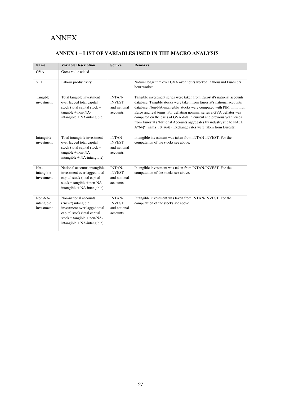## ANNEX

## **ANNEX 1 – LIST OF VARIABLES USED IN THE MACRO ANALYSIS**

| <b>Name</b>                         | <b>Variable Description</b>                                                                                                                                                | <b>Source</b>                                              | <b>Remarks</b>                                                                                                                                                                                                                                                                                                                                                                                                                                                                                                         |
|-------------------------------------|----------------------------------------------------------------------------------------------------------------------------------------------------------------------------|------------------------------------------------------------|------------------------------------------------------------------------------------------------------------------------------------------------------------------------------------------------------------------------------------------------------------------------------------------------------------------------------------------------------------------------------------------------------------------------------------------------------------------------------------------------------------------------|
| <b>GVA</b>                          | Gross value added                                                                                                                                                          |                                                            |                                                                                                                                                                                                                                                                                                                                                                                                                                                                                                                        |
| $Y_L$                               | Labour productivity                                                                                                                                                        |                                                            | Natural logarithm over GVA over hours worked in thousand Euros per<br>hour worked.                                                                                                                                                                                                                                                                                                                                                                                                                                     |
| Tangible<br>investment              | Total tangible investment<br>over lagged total capital<br>stock (total capital stock $=$<br>$tangible + non-NA-$<br>$intangible + NA-intangible)$                          | <b>INTAN-</b><br><b>INVEST</b><br>and national<br>accounts | Tangible investment series were taken from Eurostat's national accounts<br>database. Tangible stocks were taken from Eurostat's national accounts<br>database. Non-NA-intangible stocks were computed with PIM in million<br>Euros and real terms. For deflating nominal series a GVA deflator was<br>computed on the basis of GVA data in current and previous year prices<br>from Eurostat ("National Accounts aggregates by industry (up to NACE<br>A*64)" [nama 10 a64]). Exchange rates were taken from Eurostat. |
| Intangible<br>investment            | Total intangible investment<br>over lagged total capital<br>stock (total capital stock $=$<br>$tangible + non-NA$<br>$intangible + NA-intangible)$                         | INTAN-<br><b>INVEST</b><br>and national<br>accounts        | Intangible investment was taken from INTAN-INVEST. For the<br>computation of the stocks see above.                                                                                                                                                                                                                                                                                                                                                                                                                     |
| NA-<br>intangible<br>investment     | National accounts intangible<br>investment over lagged total<br>capital stock (total capital<br>$stock = tangle + non-NA$ -<br>$intangible + NA-intangible)$               | <b>INTAN-</b><br><b>INVEST</b><br>and national<br>accounts | Intangible investment was taken from INTAN-INVEST. For the<br>computation of the stocks see above.                                                                                                                                                                                                                                                                                                                                                                                                                     |
| Non-NA-<br>intangible<br>investment | Non-national accounts<br>("new") intangible<br>investment over lagged total<br>capital stock (total capital<br>$stock = tangle + non-NA-$<br>$intangible + NA-intangible)$ | INTAN-<br><b>INVEST</b><br>and national<br>accounts        | Intangible investment was taken from INTAN-INVEST. For the<br>computation of the stocks see above.                                                                                                                                                                                                                                                                                                                                                                                                                     |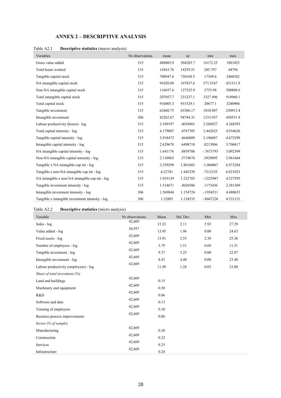## **ANNEX 2 – DESCRIPTIVE ANALYSIS**

| Table A2.1 | <b>Descriptive statistics</b> (macro analysis) |  |
|------------|------------------------------------------------|--|
|            |                                                |  |

| Variables                                        | Nr observations | mean     | sd       | min          | max      |
|--------------------------------------------------|-----------------|----------|----------|--------------|----------|
| Gross value added                                | 315             | 488003.9 | 504203.7 | 16172.25     | 1883425  |
| Total hours worked                               | 315             | 14363.76 | 14259.51 | 285.797      | 44796    |
| Tangible capital stock                           | 315             | 708947.6 | 730168.5 | 17349.6      | 2460382  |
| NA intangible capital stock                      | 315             | 91020.08 | 107837.6 | 571.5167     | 431311.9 |
| Non-NA intangible capital stock                  | 315             | 116037.6 | 127525.9 | 2755.98      | 508808.6 |
| Total intangible capital stock                   | 315             | 207057.7 | 231237.1 | 3327.496     | 914960.1 |
| Total capital stock                              | 315             | 916005.3 | 931529.1 | 20677.1      | 3240904  |
| Tangible investment                              | 315             | 62460.75 | 63306.17 | 1810.887     | 250913.4 |
| Intangible investment                            | 306             | 82262.87 | 94794.31 | 1215.937     | 458551.4 |
| Labour productivity (hours) - log                | 315             | 3.549197 | .4038965 | 2.504927     | 4.268593 |
| Total capital intensity - log                    | 315             | 4.179007 | .4747705 | 2.442825     | 4.934626 |
| Tangible capital intensity - log                 | 315             | 3.918472 | .4646809 | 2.196887     | 4.675299 |
| Intangible capital intensity - log               | 315             | 2.629678 | .6498718 | .8213086     | 3.706817 |
| NA intangible capital intensity - log            | 315             | 1.641176 | .8859786 | $-0.7673793$ | 3.092399 |
| Non-NA intangible capital intensity - log        | 315             | 2.110963 | .5719674 | .5929095     | 2.961664 |
| Tangible x NA intangible cap int - log           | 315             | 3.359298 | 1.861683 | $-1.064067$  | 6.973284 |
| Tangible x non-NA intangible cap int - log       | 315             | 4.22741  | 1.442539 | .7312155     | 6.821023 |
| NA intangible x non-NA intangible cap int - log  | 315             | 1.935139 | 1.222783 | $-.3225987$  | 4.527595 |
| Tangible investment intensity - log              | 315             | 1.514671 | .4026506 | .1173436     | 2.381369 |
| Intangible investment intensity - log            | 306             | 1.569844 | 1.154724 | $-1934511$   | 4.480653 |
| Tangible x intangible investment intensity - log | 306             | 1.32885  | 1.134535 | $-0.0447226$ | 4.531121 |

Table A2.2 **Descriptive statistics** (micro analysis)

| Variable                              | Nr observations | Mean  | Std. Dev. | Min  | Max   |
|---------------------------------------|-----------------|-------|-----------|------|-------|
| Sales - log                           | 42,669          | 15.23 | 2.11      | 5.92 | 27.29 |
| Value added - log                     | 36,937          | 13.95 | 1.96      | 0.00 | 24.63 |
| Fixed assets - log                    | 42,669          | 13.91 | 2.55      | 2.38 | 25.36 |
| Number of employees - log             | 42,669          | 3.79  | 1.51      | 0.69 | 11.51 |
| Tangible investment - log             | 42,669          | 9.37  | 5.25      | 0.00 | 22.87 |
| Intangible investment - log           | 42,669          | 8.47  | 4.48      | 0.00 | 23.40 |
| Labour productivity (employees) - log | 42,669          | 11.49 | 1.28      | 0.03 | 23.80 |
| Share of total investment (%)         |                 |       |           |      |       |
| Land and buildings                    | 42,669          | 0.15  |           |      |       |
| Machinery and equipment               | 42,669          | 0.50  |           |      |       |
| R&D                                   | 42,669          | 0.06  |           |      |       |
| Software and data                     | 42,669          | 0.13  |           |      |       |
|                                       | 42,669          | 0.10  |           |      |       |
| Training of employees                 | 42,669          |       |           |      |       |
| Business process improvements         |                 | 0.06  |           |      |       |
| Sector (% of sample)                  | 42,669          |       |           |      |       |
| Manufacturing                         |                 | 0.30  |           |      |       |
| Construction                          | 42,669          | 0.22  |           |      |       |
| Services                              | 42,669          | 0.25  |           |      |       |
| Infrastructure                        | 42,669          | 0.24  |           |      |       |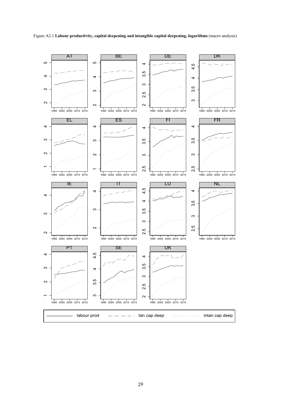

Figure A2.1 **Labour productivity, capital deepening and intangible capital deepening, logarithms** (macro analysis)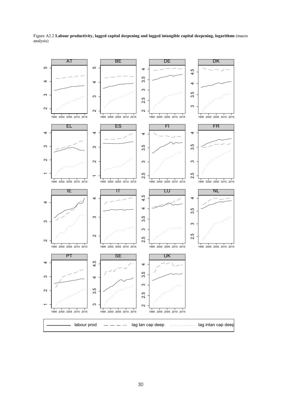

Figure A2.2 **Labour productivity, lagged capital deepening and lagged intangible capital deepening, logarithms** (macro analysis)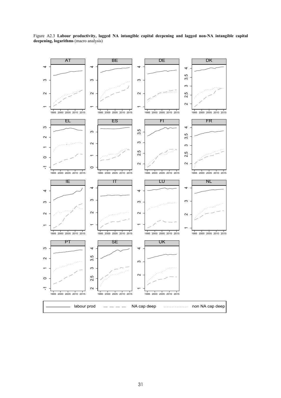

Figure A2.3 **Labour productivity, lagged NA intangible capital deepening and lagged non-NA intangible capital deepening, logarithms** (macro analysis)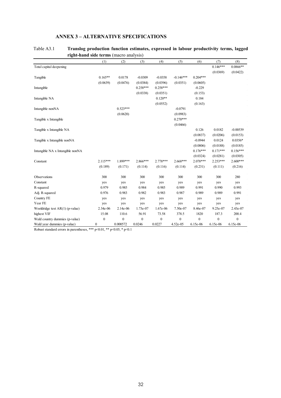|                                   | <b>Tight-name stue terms</b> (macro analysis) |              |              |                  |                |            |              |            |
|-----------------------------------|-----------------------------------------------|--------------|--------------|------------------|----------------|------------|--------------|------------|
|                                   | (1)                                           | (2)          | (3)          | (4)              | (5)            | (6)        | (7)          | (8)        |
| Total capital deepening           |                                               |              |              |                  |                |            | $0.146***$   | $0.0866**$ |
|                                   |                                               |              |              |                  |                |            | (0.0369)     | (0.0422)   |
| Tangible                          | $0.165**$                                     | 0.0178       | $-0.0309$    | $-0.0358$        | $-0.146***$    | $0.204***$ |              |            |
|                                   | (0.0639)                                      | (0.0476)     | (0.0384)     | (0.0396)         | (0.0351)       | (0.0605)   |              |            |
| Intangible                        |                                               |              | $0.258***$   | $0.258***$       |                | $-0.229$   |              |            |
|                                   |                                               |              | (0.0338)     | (0.0351)         |                | (0.153)    |              |            |
| Intangible NA                     |                                               |              |              | $0.120**$        |                | 0.184      |              |            |
|                                   |                                               |              |              | (0.0552)         |                | (0.163)    |              |            |
| Intangible nonNA                  |                                               | $0.523***$   |              |                  | $-0.0791$      |            |              |            |
|                                   |                                               | (0.0620)     |              |                  | (0.0983)       |            |              |            |
| Tangible x Intangible             |                                               |              |              |                  | $0.270***$     |            |              |            |
|                                   |                                               |              |              |                  | (0.0466)       |            |              |            |
| Tangible x Intangible NA          |                                               |              |              |                  |                | 0.126      | 0.0182       | $-0.00539$ |
|                                   |                                               |              |              |                  |                | (0.0837)   | (0.0206)     | (0.0153)   |
| Tangible x Intangible nonNA       |                                               |              |              |                  |                | $-0.0944$  | 0.0124       | $0.0356*$  |
|                                   |                                               |              |              |                  |                | (0.0806)   | (0.0188)     | (0.0185)   |
| Intangible NA x Intangible nonNA  |                                               |              |              |                  |                | $0.176***$ | $0.171***$   | $0.156***$ |
|                                   |                                               |              |              |                  |                | (0.0324)   | (0.0281)     | (0.0305)   |
| Constant                          | $2.115***$                                    | 1.899***     | $2.866***$   | $2.778***$       | $2.668***$     | 2.078***   | $2.253***$   | $2.600***$ |
|                                   | (0.189)                                       | (0.171)      | (0.114)      | (0.116)          | (0.114)        | (0.231)    | (0.111)      | (0.216)    |
|                                   |                                               |              |              |                  |                |            |              |            |
| Observations                      | 300                                           | 300          | 300          | 300              | 300            | 300        | 300          | 280        |
| Constant                          | yes                                           | yes          | yes          | yes              | yes            | yes        | yes          | yes        |
| R-squared                         | 0.979                                         | 0.985        | 0.984        | 0.985            | 0.989          | 0.991      | 0.990        | 0.993      |
| Adj. R-squared                    | 0.976                                         | 0.983        | 0.982        | 0.983            | 0.987          | 0.989      | 0.989        | 0.991      |
| Country FE                        | yes                                           | yes          | yes          | yes              | yes            | yes        | yes          | yes        |
| Year FE                           | yes                                           | yes          | yes          | yes              | yes            | yes        | yes          | yes        |
| Wooldridge test $AR(1)$ (p-value) | 2.34e-06                                      | 2.14e-06     | 1.73e-07     | 1.67e-06         | 7.50e-07       | 8.46e-07   | 9.25e-07     | 2.43e-07   |
| highest VIF                       | 15.08                                         | 110.6        | 56.91        | 73.58            | 378.5          | 1820       | 187.3        | 200.4      |
| Wald country dummies (p-value)    | $\boldsymbol{0}$                              | $\mathbf{0}$ | $\mathbf{0}$ | $\boldsymbol{0}$ | $\overline{0}$ | $\theta$   | $\mathbf{0}$ | $\theta$   |
| Wald year dummies (p-value)       | $\bf{0}$                                      | 0.000572     | 0.0246       | 0.0227           | 4.52e-05       | 6.15e-06   | 6.15e-06     | 6.15e-06   |

## **ANNEX 3 – ALTERNATIVE SPECIFICATIONS**

#### Table A3.1 **Translog production function estimates, expressed in labour productivity terms, lagged right-hand side terms** (macro analysis)

Robust standard errors in parentheses, \*\*\* p<0.01, \*\* p<0.05, \* p<0.1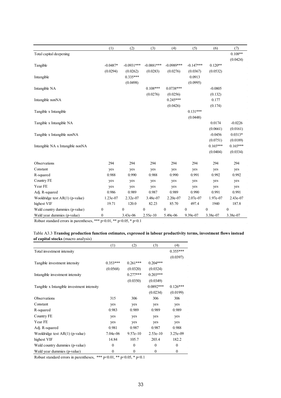|                                  | (1)              | (2)          | (3)          | (4)          | (5)          | (6)              | (7)              |
|----------------------------------|------------------|--------------|--------------|--------------|--------------|------------------|------------------|
| Total capital deepening          |                  |              |              |              |              |                  | $0.108**$        |
|                                  |                  |              |              |              |              |                  | (0.0424)         |
| Tangible                         | $-0.0487*$       | $-0.0931***$ | $-0.0881***$ | $-0.0989***$ | $-0.147***$  | $0.120**$        |                  |
|                                  | (0.0294)         | (0.0262)     | (0.0283)     | (0.0276)     | (0.0367)     | (0.0532)         |                  |
| Intangible                       |                  | $0.335***$   |              |              | 0.0913       |                  |                  |
|                                  |                  | (0.0498)     |              |              | (0.0995)     |                  |                  |
| Intangible NA                    |                  |              | $0.108***$   | $0.0738***$  |              | $-0.0805$        |                  |
|                                  |                  |              | (0.0276)     | (0.0256)     |              | (0.132)          |                  |
| Intangible nonNA                 |                  |              |              | $0.245***$   |              | 0.177            |                  |
|                                  |                  |              |              | (0.0426)     |              | (0.174)          |                  |
| Tangible x Intangible            |                  |              |              |              | $0.131***$   |                  |                  |
|                                  |                  |              |              |              | (0.0448)     |                  |                  |
| Tangible x Intangible NA         |                  |              |              |              |              | 0.0174           | $-0.0226$        |
|                                  |                  |              |              |              |              | (0.0661)         | (0.0161)         |
| Tangible x Intangible nonNA      |                  |              |              |              |              | $-0.0456$        | $0.0313*$        |
|                                  |                  |              |              |              |              | (0.0751)         | (0.0189)         |
| Intangible NA x Intangible nonNA |                  |              |              |              |              | $0.165***$       | $0.165***$       |
|                                  |                  |              |              |              |              | (0.0404)         | (0.0334)         |
|                                  |                  |              |              |              |              |                  |                  |
| Observations                     | 294              | 294          | 294          | 294          | 294          | 294              | 294              |
| Constant                         | yes              | yes          | yes          | yes          | yes          | yes              | yes              |
| R-squared                        | 0.988            | 0.990        | 0.988        | 0.990        | 0.991        | 0.992            | 0.992            |
| Country FE                       | yes              | yes          | yes          | yes          | yes          | yes              | yes              |
| Year FE                          | yes              | yes          | yes          | yes          | yes          | yes              | yes              |
| Adj. R-squared                   | 0.986            | 0.989        | 0.987        | 0.989        | 0.990        | 0.991            | 0.991            |
| Wooldridge test AR(1) (p-value)  | 1.23e-07         | 2.32e-07     | 3.48e-07     | 2.20e-07     | 2.07e-07     | 1.97e-07         | 2.43e-07         |
| highest VIF                      | 19.71            | 120.0        | 82.23        | 85.70        | 497.4        | 1940             | 187.8            |
| Wald country dummies (p-value)   | $\boldsymbol{0}$ | $\mathbf{0}$ | $\mathbf{0}$ | $\mathbf{0}$ | $\mathbf{0}$ | $\boldsymbol{0}$ | $\boldsymbol{0}$ |
| Wald year dummies (p-value)      | $\mathbf{0}$     | 3.43e-06     | 2.55e-10     | 5.49e-06     | 9.39e-07     | 3.38e-07         | 3.38e-07         |

Robust standard errors in parentheses, \*\*\* p<0.01, \*\* p<0.05, \* p<0.1

#### Table A3.3 **Translog production function estimates, expressed in labour productivity terms, investment flows instead of capital stocks** (macro analysis)

|                                            | (1)        | (2)          | (3)         | (4)        |
|--------------------------------------------|------------|--------------|-------------|------------|
| Total investment intensity                 |            |              |             | $0.355***$ |
|                                            |            |              |             | (0.0397)   |
| Tangible investment intensity              | $0.353***$ | $0.261***$   | $0.204***$  |            |
|                                            | (0.0568)   | (0.0320)     | (0.0324)    |            |
| Intangible investment intensity            |            | $0.277***$   | $0.203***$  |            |
|                                            |            | (0.0350)     | (0.0349)    |            |
| Tangible x Intangible investment intensity |            |              | $0.0892***$ | $0.126***$ |
|                                            |            |              | (0.0234)    | (0.0199)   |
| <b>Observations</b>                        | 315        | 306          | 306         | 306        |
| Constant                                   | yes        | yes          | yes         | yes        |
| R-squared                                  | 0.983      | 0.989        | 0.989       | 0.989      |
| Country FE                                 | yes        | yes          | yes         | yes        |
| Year FE                                    | yes        | yes          | yes         | yes        |
| Adj. R-squared                             | 0.981      | 0.987        | 0.987       | 0.988      |
| Wooldridge test $AR(1)$ (p-value)          | $7.04e-06$ | $9.57e-10$   | $2.53e-10$  | $3.25e-09$ |
| highest VIF                                | 14.84      | 105.7        | 203.4       | 182.2      |
| Wald country dummies (p-value)             | $\Omega$   | $\theta$     | $\theta$    | $\theta$   |
| Wald year dummies (p-value)                | 0          | $\mathbf{0}$ | $\theta$    | $\theta$   |

Robust standard errors in parentheses, \*\*\* p<0.01, \*\* p<0.05, \* p<0.1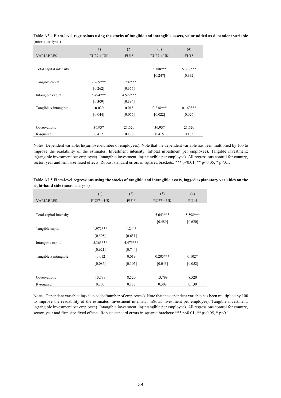|                         | (1)         | (2)        | (3)         | (4)        |
|-------------------------|-------------|------------|-------------|------------|
| <b>VARIABLES</b>        | $EU27 + UK$ | EU15       | $EU27 + UK$ | EU15       |
|                         |             |            |             |            |
| Total capital intensity |             |            | 5.388***    | $5.337***$ |
|                         |             |            | [0.247]     | [0.332]    |
| Tangible capital        | $2.269***$  | $1.709***$ |             |            |
|                         | [0.262]     | [0.357]    |             |            |
| Intangible capital      | 5.494***    | 4.529***   |             |            |
|                         | [0.309]     | [0.394]    |             |            |
| Tangible x intangible   | $-0.030$    | 0.018      | $0.238***$  | $0.160***$ |
|                         | [0.044]     | [0.055]    | [0.022]     | [0.026]    |
|                         |             |            |             |            |
| <b>Observations</b>     | 36,937      | 21,620     | 36,937      | 21,620     |
| R-squared               | 0.412       | 0.176      | 0.415       | 0.183      |

Table A3.4 **Firm-level regressions using the stocks of tangible and intangible assets, value added as dependent variable**  (micro analysis)

Notes: Dependent variable: ln(turnover/number of employees). Note that the dependent variable has been multiplied by 100 to improve the readability of the estimates. Investment intensity: ln(total investment per employee). Tangible investment: ln(tangible investment per employee). Intangible investment: ln(intangible per employee). All regressions control for country, sector, year and firm size fixed effects. Robust standard errors in squared brackets: \*\*\* p<0.01, \*\* p<0.05, \* p<0.1.

|                         | (1)         | (2)        | (3)         | (4)      |
|-------------------------|-------------|------------|-------------|----------|
| <b>VARIABLES</b>        | $EU27 + UK$ | EU15       | $EU27 + UK$ | EU15     |
|                         |             |            |             |          |
| Total capital intensity |             |            | $5.643***$  | 5.598*** |
|                         |             |            | [0.489]     | [0.620]  |
| Tangible capital        | $1.972***$  | $1.244*$   |             |          |
|                         | [0.508]     | [0.651]    |             |          |
| Intangible capital      | $5.363***$  | $4.475***$ |             |          |
|                         | [0.621]     | [0.744]    |             |          |
| Tangible x intangible   | $-0.012$    | 0.019      | $0.205***$  | $0.102*$ |
|                         | [0.086]     | [0.105]    | [0.043]     | [0.052]  |
|                         |             |            |             |          |
| <b>Observations</b>     | 13,799      | 8,520      | 13,799      | 8,520    |
| R-squared               | 0.305       | 0.133      | 0.308       | 0.139    |

Table A3.5 **Firm-level regressions using the stocks of tangible and intangible assets, lagged explanatory variables on the right-hand side** (micro analysis)

Notes: Dependent variable: ln(value added/number of employees). Note that the dependent variable has been multiplied by 100 to improve the readability of the estimates. Investment intensity: ln(total investment per employee). Tangible investment: ln(tangible investment per employee). Intangible investment: ln(intangible per employee). All regressions control for country, sector, year and firm size fixed effects. Robust standard errors in squared brackets: \*\*\* p<0.01, \*\* p<0.05, \* p<0.1.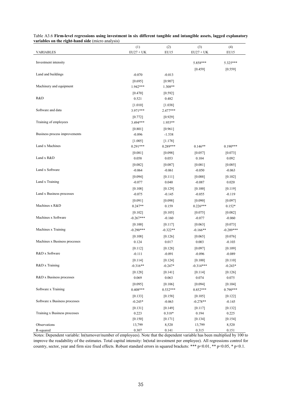| a nores on the right hand side |                       |                       |                       |                       |
|--------------------------------|-----------------------|-----------------------|-----------------------|-----------------------|
|                                | (1)                   | (2)                   | (3)                   | (4)                   |
| <b>VARIABLES</b>               | $EU27 + UK$           | EU15                  | $EU27 + UK$           | EU15                  |
| Investment intensity           |                       |                       | 5.858***              | 5.325***              |
|                                |                       |                       | [0.459]               | [0.559]               |
| Land and buildings             | $-0.070$              | $-0.013$              |                       |                       |
|                                | [0.695]               | [0.907]               |                       |                       |
| Machinery and equipment        | 1.942***              | 1.308**               |                       |                       |
|                                | [0.470]               | [0.592]               |                       |                       |
| R&D                            | 0.521                 | 0.482                 |                       |                       |
|                                | [1.010]               | [1.038]               |                       |                       |
| Software and data              | 3.971***              | 2.477***              |                       |                       |
|                                | [0.772]               | [0.929]               |                       |                       |
| Training of employees          | 3.494***              | 1.955**               |                       |                       |
|                                | [0.801]               | [0.961]               |                       |                       |
| Business process improvements  | $-0.896$              | $-1.538$              |                       |                       |
|                                | [1.005]               | [1.178]               |                       |                       |
| Land x Machines                | $0.291***$            | $0.289***$            | $0.146**$             | $0.190***$            |
|                                | [0.081]               | [0.098]               | [0.057]               | [0.073]               |
| Land x R&D                     | 0.058                 | 0.053                 | 0.104                 | 0.092                 |
|                                | [0.082]               | [0.087]               | [0.081]               | [0.085]               |
| Land x Software                | $-0.064$              | $-0.061$              | $-0.050$              | $-0.063$              |
|                                | [0.094]               | [0.111]               | [0.088]               | $[0.102]$             |
| Land x Training                | $-0.077$              | 0.040                 | $-0.087$              | 0.020                 |
|                                | [0.108]               | [0.129]               | [0.100]               | [0.119]               |
| Land x Business processes      | $-0.075$              | $-0.145$              | $-0.055$              | $-0.119$              |
|                                | [0.091]               | [0.098]               | [0.090]               | [0.097]               |
| Machines x R&D                 | $0.247**$             | 0.159                 | $0.226***$            | $0.152*$              |
|                                | $[0.102]$             | [0.105]               | [0.075]               | $[0.082]$             |
| Machines x Software            | $-0.267***$           | $-0.160$              | $-0.077$              | $-0.060$              |
|                                | [0.100]               | [0.117]               | [0.063]               | $[0.073]$             |
| Machines x Training            | $-0.290***$           | $-0.322**$            | $-0.166**$            | $-0.289***$           |
|                                | [0.108]               | [0.126]               | [0.065]               | [0.076]               |
| Machines x Business processes  | 0.124                 | 0.017                 | 0.003                 | $-0.103$              |
|                                | [0.112]               | [0.128]               | [0.097]               | [0.109]               |
| R&D x Software                 | $-0.111$              | $-0.091$              | $-0.096$              | $-0.089$              |
| R&D x Training                 | [0.114]               | [0.124]               | [0.100]               | [0.110]               |
|                                | $-0.316**$            | $-0.247*$             | $-0.314***$           | $-0.243*$             |
| R&D x Business processes       | $[0.128]$             | [0.141]               | [0.114]               | [0.126]               |
|                                | 0.069                 | 0.063                 | 0.074                 | 0.075                 |
| Software x Training            | [0.095]<br>$0.408***$ | [0.106]<br>$0.532***$ | [0.094]<br>$0.852***$ | [0.104]<br>$0.790***$ |
|                                |                       |                       |                       |                       |
| Software x Business processes  | [0.133]               | [0.158]               | [0.105]<br>$-0.278**$ | [0.122]               |
|                                | $-0.245*$             | $-0.063$              |                       | $-0.145$              |
| Training x Business processes  | [0.131]<br>0.223      | [0.149]<br>$0.318*$   | [0.117]<br>0.194      | [0.132]<br>0.225      |
|                                | [0.150]               | [0.171]               | $[0.134]$             | $[0.154]$             |
| Observations                   | 13,799                | 8,520                 | 13,799                | 8,520                 |
| R-squared                      | 0.307                 | 0.141                 | 0.315                 | 0.151                 |

| Table A3.6 Firm-level regressions using investment in six different tangible and intangible assets, lagged explanatory |  |  |  |
|------------------------------------------------------------------------------------------------------------------------|--|--|--|
| variables on the right-hand side (micro analysis)                                                                      |  |  |  |

Notes: Dependent variable: ln(turnover/number of employees). Note that the dependent variable has been multiplied by 100 to improve the readability of the estimates. Total capital intensity: ln(total investment per employee). All regressions control for country, sector, year and firm size fixed effects. Robust standard errors in squared brackets: \*\*\* p<0.01, \*\* p<0.05, \* p<0.1.